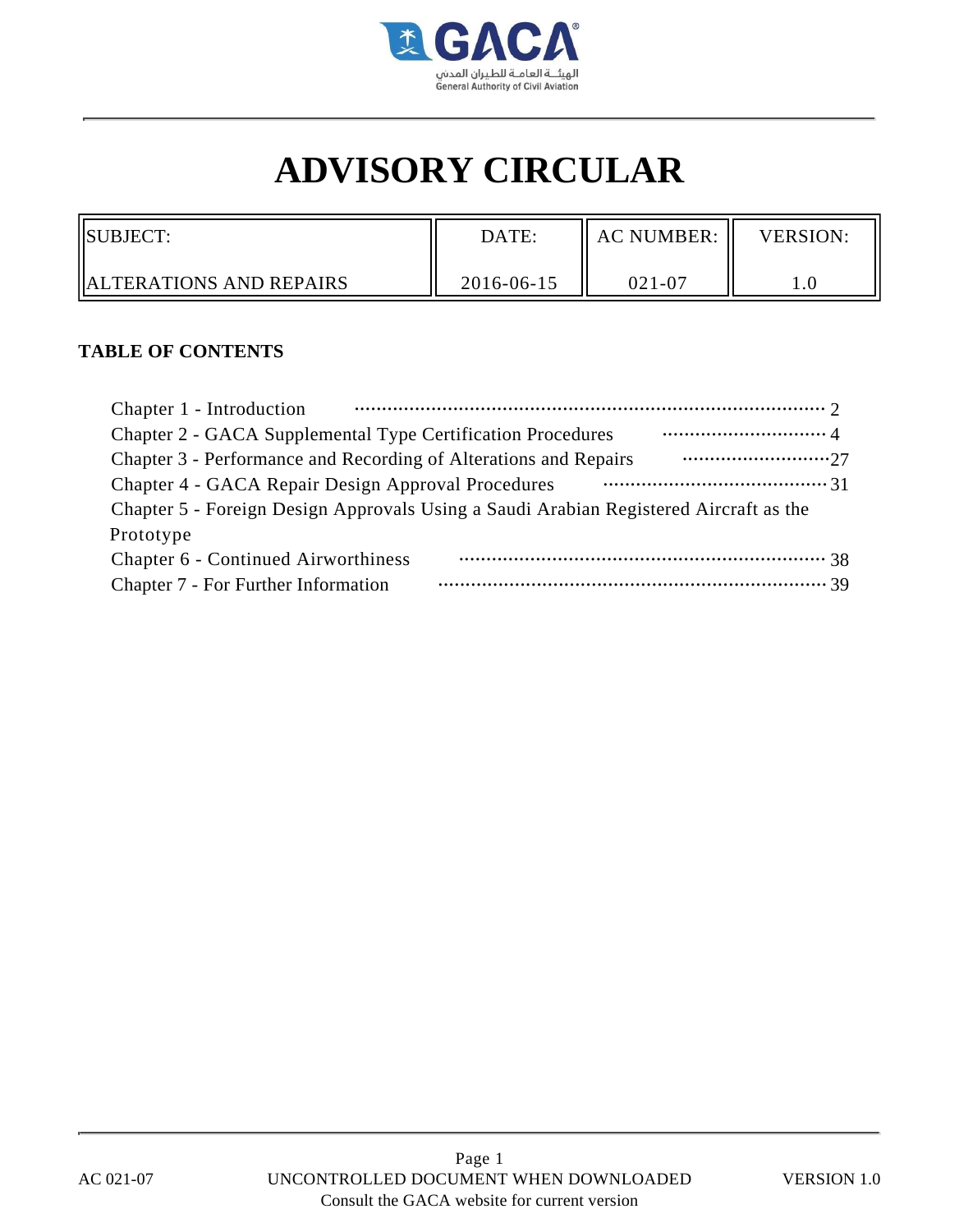

# **ADVISORY CIRCULAR**

| <b>ISUBJECT:</b>                | DATE:      | <b>AC NUMBER:</b> | <b>VERSION:</b> |
|---------------------------------|------------|-------------------|-----------------|
| <b>IALTERATIONS AND REPAIRS</b> | 2016-06-15 | $021 - 07$        | $1.0\,$         |

#### **TABLE OF CONTENTS**

| Chapter 1 - Introduction                                                              |
|---------------------------------------------------------------------------------------|
| Chapter 2 - GACA Supplemental Type Certification Procedures                           |
| Chapter 3 - Performance and Recording of Alterations and Repairs                      |
| Chapter 4 - GACA Repair Design Approval Procedures                                    |
| Chapter 5 - Foreign Design Approvals Using a Saudi Arabian Registered Aircraft as the |
| Prototype                                                                             |
| Chapter 6 - Continued Airworthiness                                                   |
| Chapter 7 - For Further Information                                                   |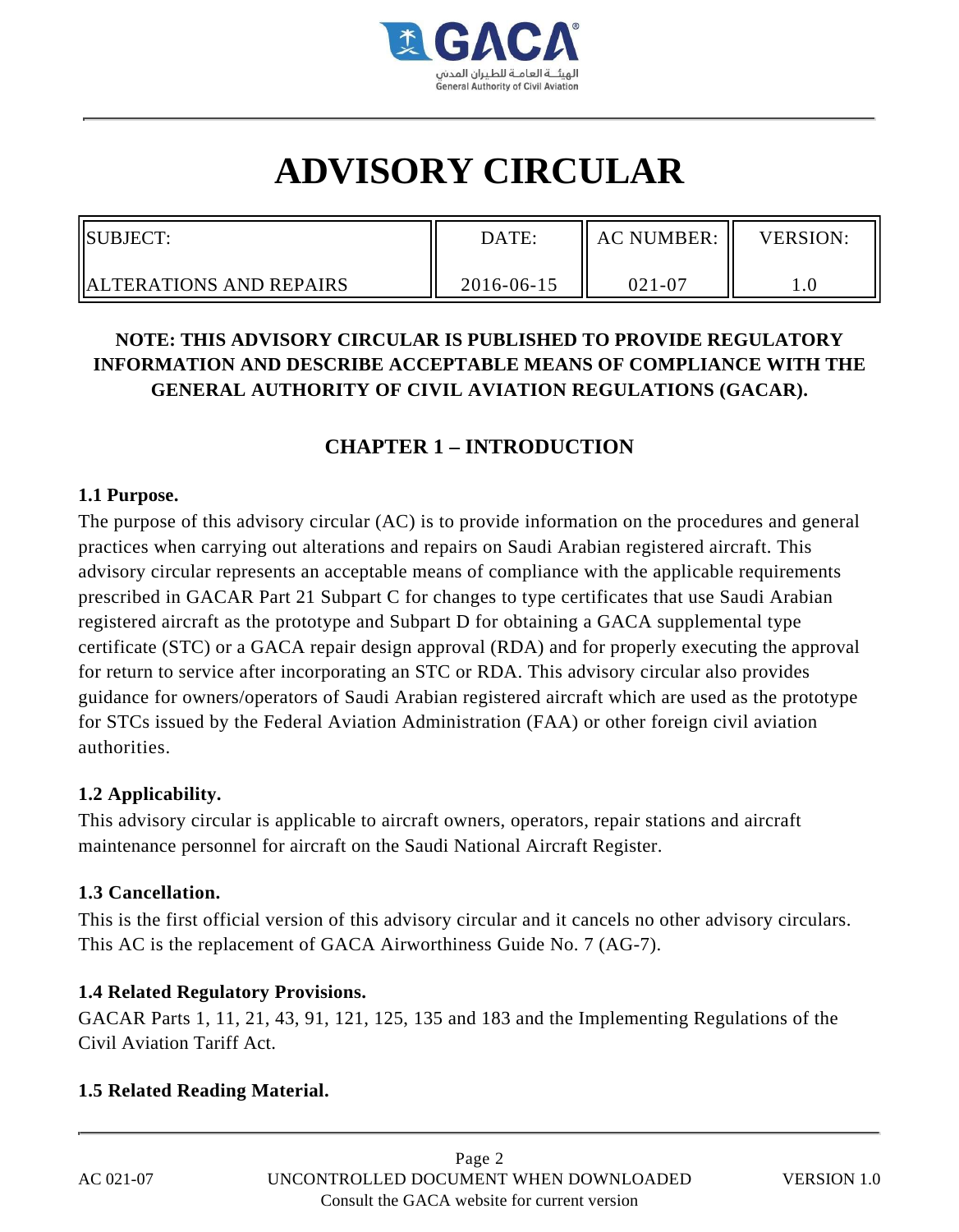

# **ADVISORY CIRCULAR**

| <b>SUBJECT:</b>                 | DATE:      | <b>AC NUMBER:</b> | <b>VERSION:</b> |
|---------------------------------|------------|-------------------|-----------------|
| <b>HALTERATIONS AND REPAIRS</b> | 2016-06-15 | $021 - 07$        |                 |

# **NOTE: THIS ADVISORY CIRCULAR IS PUBLISHED TO PROVIDE REGULATORY INFORMATION AND DESCRIBE ACCEPTABLE MEANS OF COMPLIANCE WITH THE GENERAL AUTHORITY OF CIVIL AVIATION REGULATIONS (GACAR).**

# **CHAPTER 1 – INTRODUCTION**

#### **1.1 Purpose.**

The purpose of this advisory circular (AC) is to provide information on the procedures and general practices when carrying out alterations and repairs on Saudi Arabian registered aircraft. This advisory circular represents an acceptable means of compliance with the applicable requirements prescribed in GACAR Part 21 Subpart C for changes to type certificates that use Saudi Arabian registered aircraft as the prototype and Subpart D for obtaining a GACA supplemental type certificate (STC) or a GACA repair design approval (RDA) and for properly executing the approval for return to service after incorporating an STC or RDA. This advisory circular also provides guidance for owners/operators of Saudi Arabian registered aircraft which are used as the prototype for STCs issued by the Federal Aviation Administration (FAA) or other foreign civil aviation authorities.

#### **1.2 Applicability.**

This advisory circular is applicable to aircraft owners, operators, repair stations and aircraft maintenance personnel for aircraft on the Saudi National Aircraft Register.

#### **1.3 Cancellation.**

This is the first official version of this advisory circular and it cancels no other advisory circulars. This AC is the replacement of GACA Airworthiness Guide No. 7 (AG-7).

## **1.4 Related Regulatory Provisions.**

GACAR Parts 1, 11, 21, 43, 91, 121, 125, 135 and 183 and the Implementing Regulations of the Civil Aviation Tariff Act.

## **1.5 Related Reading Material.**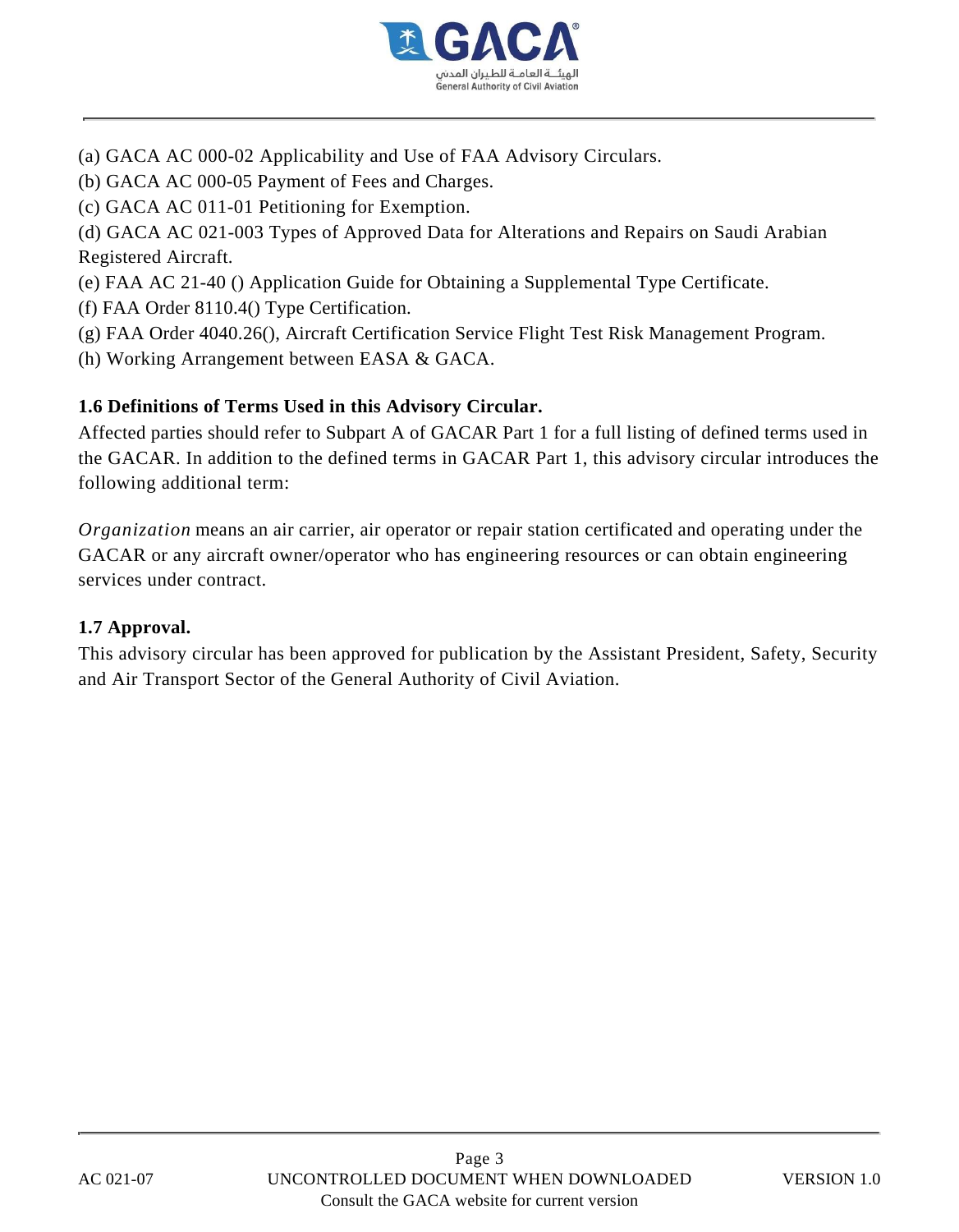

- (a) GACA AC 000-02 Applicability and Use of FAA Advisory Circulars.
- (b) GACA AC 000-05 Payment of Fees and Charges.
- (c) GACA AC 011-01 Petitioning for Exemption.

(d) GACA AC 021-003 Types of Approved Data for Alterations and Repairs on Saudi Arabian Registered Aircraft.

- (e) FAA AC 21-40 () Application Guide for Obtaining a Supplemental Type Certificate.
- (f) FAA Order 8110.4() Type Certification.
- (g) FAA Order 4040.26(), Aircraft Certification Service Flight Test Risk Management Program.
- (h) Working Arrangement between EASA & GACA.

## **1.6 Definitions of Terms Used in this Advisory Circular.**

Affected parties should refer to Subpart A of GACAR Part 1 for a full listing of defined terms used in the GACAR. In addition to the defined terms in GACAR Part 1, this advisory circular introduces the following additional term:

*Organization* means an air carrier, air operator or repair station certificated and operating under the GACAR or any aircraft owner/operator who has engineering resources or can obtain engineering services under contract.

#### **1.7 Approval.**

This advisory circular has been approved for publication by the Assistant President, Safety, Security and Air Transport Sector of the General Authority of Civil Aviation.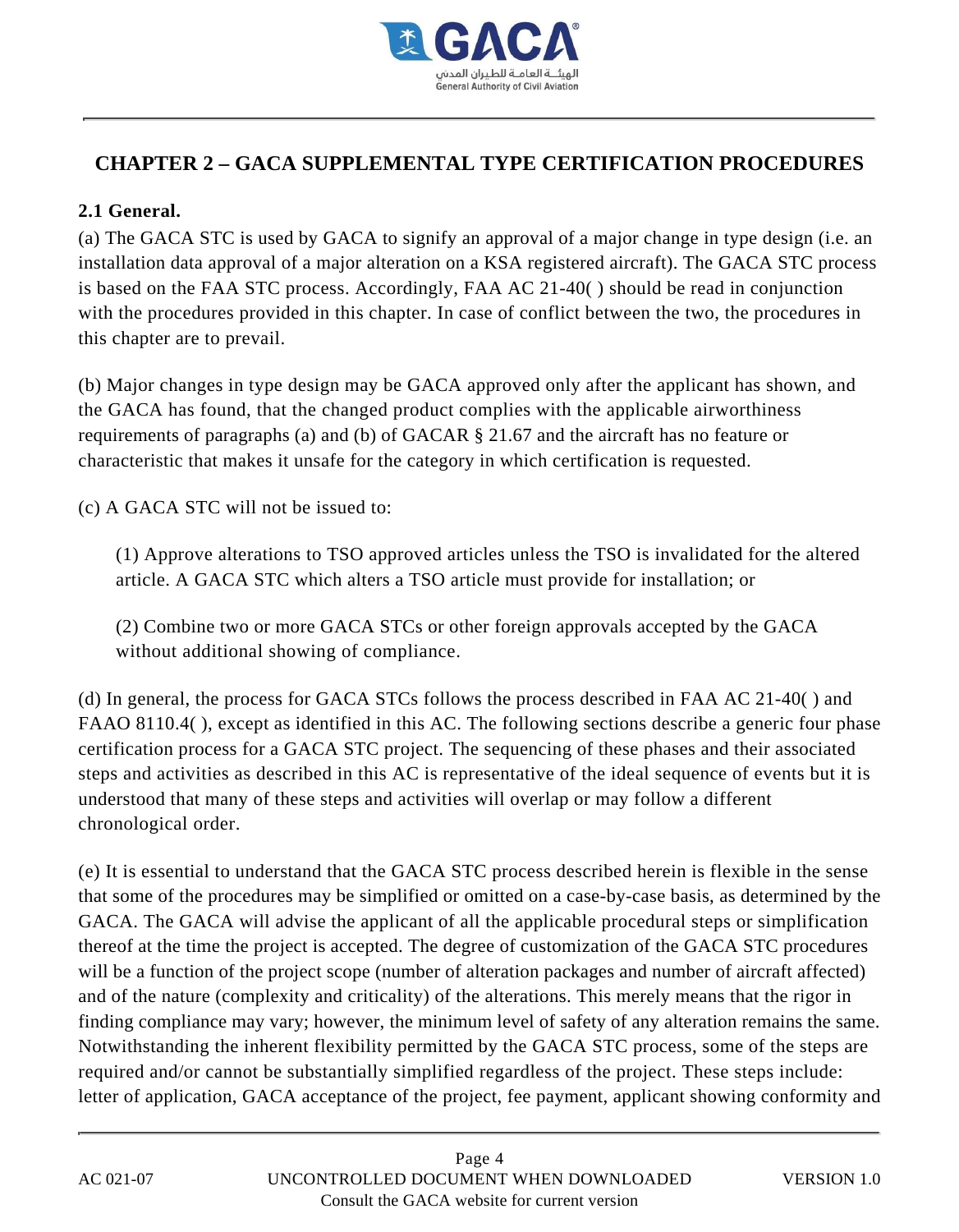

# **CHAPTER 2 – GACA SUPPLEMENTAL TYPE CERTIFICATION PROCEDURES**

## **2.1 General.**

(a) The GACA STC is used by GACA to signify an approval of a major change in type design (i.e. an installation data approval of a major alteration on a KSA registered aircraft). The GACA STC process is based on the FAA STC process. Accordingly, FAA AC 21-40( ) should be read in conjunction with the procedures provided in this chapter. In case of conflict between the two, the procedures in this chapter are to prevail.

(b) Major changes in type design may be GACA approved only after the applicant has shown, and the GACA has found, that the changed product complies with the applicable airworthiness requirements of paragraphs (a) and (b) of GACAR § 21.67 and the aircraft has no feature or characteristic that makes it unsafe for the category in which certification is requested.

(c) A GACA STC will not be issued to:

(1) Approve alterations to TSO approved articles unless the TSO is invalidated for the altered article. A GACA STC which alters a TSO article must provide for installation; or

(2) Combine two or more GACA STCs or other foreign approvals accepted by the GACA without additional showing of compliance.

(d) In general, the process for GACA STCs follows the process described in FAA AC 21-40( ) and FAAO 8110.4( ), except as identified in this AC. The following sections describe a generic four phase certification process for a GACA STC project. The sequencing of these phases and their associated steps and activities as described in this AC is representative of the ideal sequence of events but it is understood that many of these steps and activities will overlap or may follow a different chronological order.

(e) It is essential to understand that the GACA STC process described herein is flexible in the sense that some of the procedures may be simplified or omitted on a case-by-case basis, as determined by the GACA. The GACA will advise the applicant of all the applicable procedural steps or simplification thereof at the time the project is accepted. The degree of customization of the GACA STC procedures will be a function of the project scope (number of alteration packages and number of aircraft affected) and of the nature (complexity and criticality) of the alterations. This merely means that the rigor in finding compliance may vary; however, the minimum level of safety of any alteration remains the same. Notwithstanding the inherent flexibility permitted by the GACA STC process, some of the steps are required and/or cannot be substantially simplified regardless of the project. These steps include: letter of application, GACA acceptance of the project, fee payment, applicant showing conformity and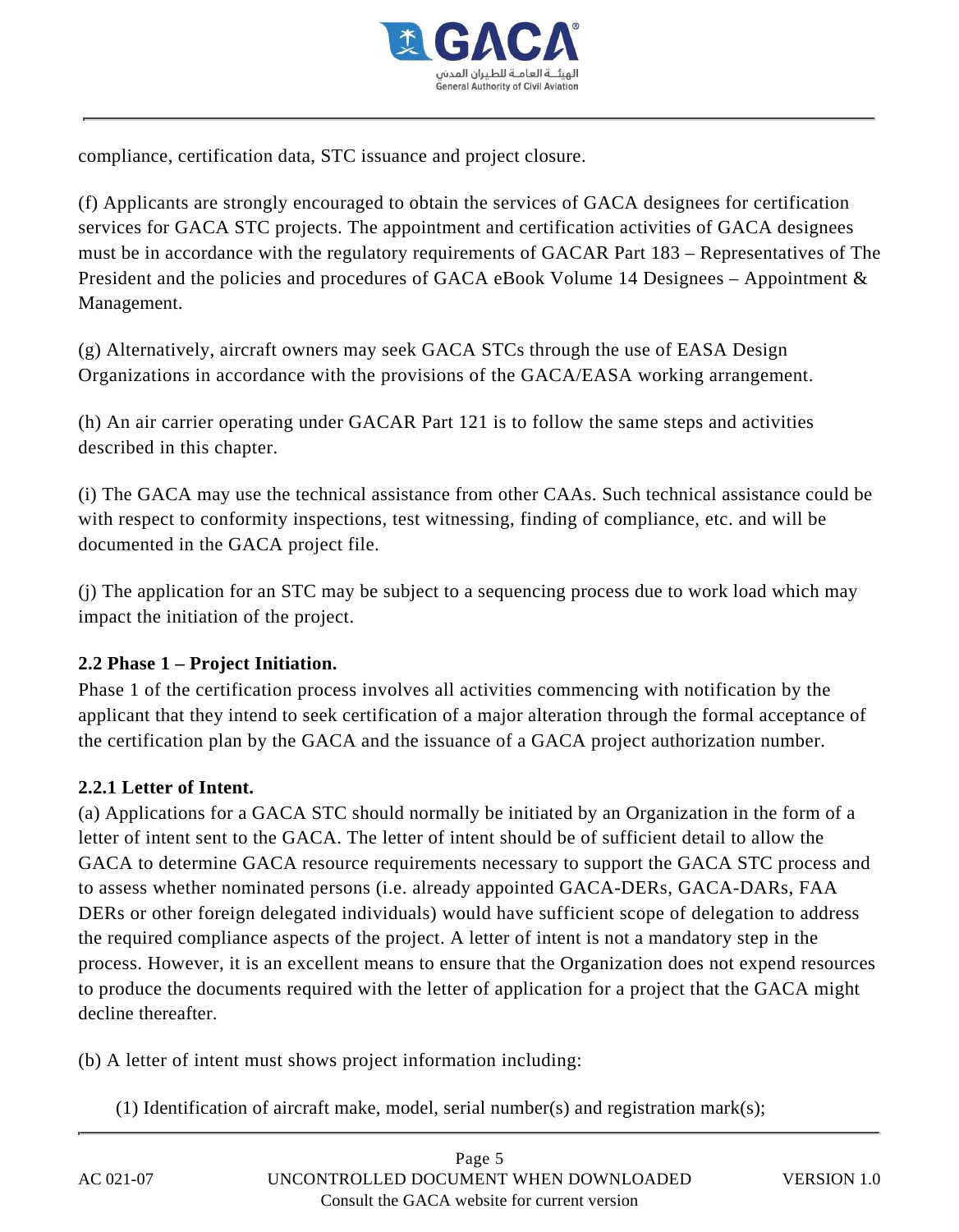

compliance, certification data, STC issuance and project closure.

(f) Applicants are strongly encouraged to obtain the services of GACA designees for certification services for GACA STC projects. The appointment and certification activities of GACA designees must be in accordance with the regulatory requirements of GACAR Part 183 – Representatives of The President and the policies and procedures of GACA eBook Volume 14 Designees – Appointment & Management.

(g) Alternatively, aircraft owners may seek GACA STCs through the use of EASA Design Organizations in accordance with the provisions of the GACA/EASA working arrangement.

(h) An air carrier operating under GACAR Part 121 is to follow the same steps and activities described in this chapter.

(i) The GACA may use the technical assistance from other CAAs. Such technical assistance could be with respect to conformity inspections, test witnessing, finding of compliance, etc. and will be documented in the GACA project file.

(j) The application for an STC may be subject to a sequencing process due to work load which may impact the initiation of the project.

#### **2.2 Phase 1 – Project Initiation.**

Phase 1 of the certification process involves all activities commencing with notification by the applicant that they intend to seek certification of a major alteration through the formal acceptance of the certification plan by the GACA and the issuance of a GACA project authorization number.

## **2.2.1 Letter of Intent.**

(a) Applications for a GACA STC should normally be initiated by an Organization in the form of a letter of intent sent to the GACA. The letter of intent should be of sufficient detail to allow the GACA to determine GACA resource requirements necessary to support the GACA STC process and to assess whether nominated persons (i.e. already appointed GACA-DERs, GACA-DARs, FAA DERs or other foreign delegated individuals) would have sufficient scope of delegation to address the required compliance aspects of the project. A letter of intent is not a mandatory step in the process. However, it is an excellent means to ensure that the Organization does not expend resources to produce the documents required with the letter of application for a project that the GACA might decline thereafter.

(b) A letter of intent must shows project information including:

(1) Identification of aircraft make, model, serial number(s) and registration mark(s);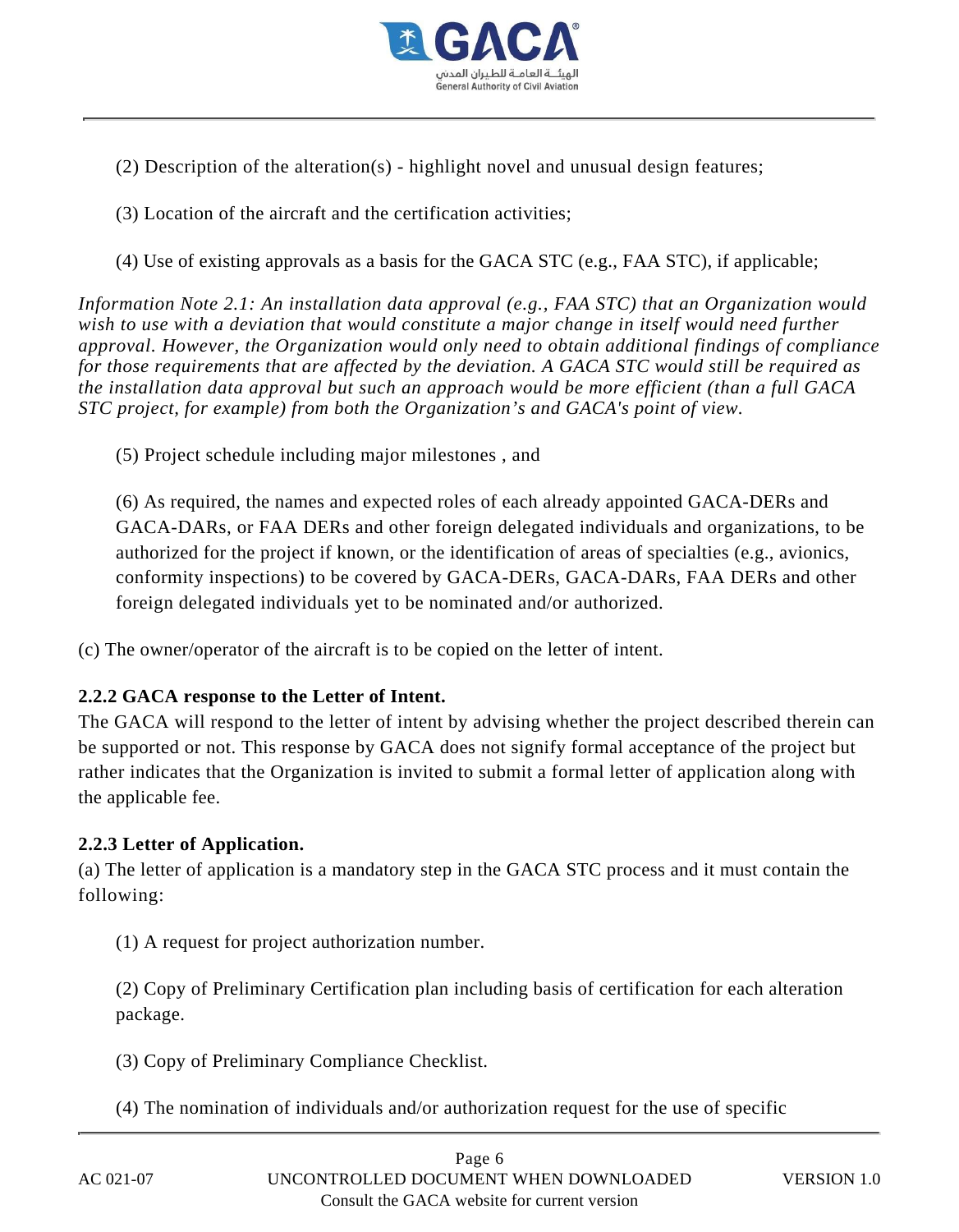

- (2) Description of the alteration(s) highlight novel and unusual design features;
- (3) Location of the aircraft and the certification activities;
- (4) Use of existing approvals as a basis for the GACA STC (e.g., FAA STC), if applicable;

*Information Note 2.1: An installation data approval (e.g., FAA STC) that an Organization would wish to use with a deviation that would constitute a major change in itself would need further approval. However, the Organization would only need to obtain additional findings of compliance for those requirements that are affected by the deviation. A GACA STC would still be required as the installation data approval but such an approach would be more efficient (than a full GACA STC project, for example) from both the Organization's and GACA's point of view.*

(5) Project schedule including major milestones , and

(6) As required, the names and expected roles of each already appointed GACA-DERs and GACA-DARs, or FAA DERs and other foreign delegated individuals and organizations, to be authorized for the project if known, or the identification of areas of specialties (e.g., avionics, conformity inspections) to be covered by GACA-DERs, GACA-DARs, FAA DERs and other foreign delegated individuals yet to be nominated and/or authorized.

(c) The owner/operator of the aircraft is to be copied on the letter of intent.

#### **2.2.2 GACA response to the Letter of Intent.**

The GACA will respond to the letter of intent by advising whether the project described therein can be supported or not. This response by GACA does not signify formal acceptance of the project but rather indicates that the Organization is invited to submit a formal letter of application along with the applicable fee.

#### **2.2.3 Letter of Application.**

(a) The letter of application is a mandatory step in the GACA STC process and it must contain the following:

(1) A request for project authorization number.

(2) Copy of Preliminary Certification plan including basis of certification for each alteration package.

(3) Copy of Preliminary Compliance Checklist.

(4) The nomination of individuals and/or authorization request for the use of specific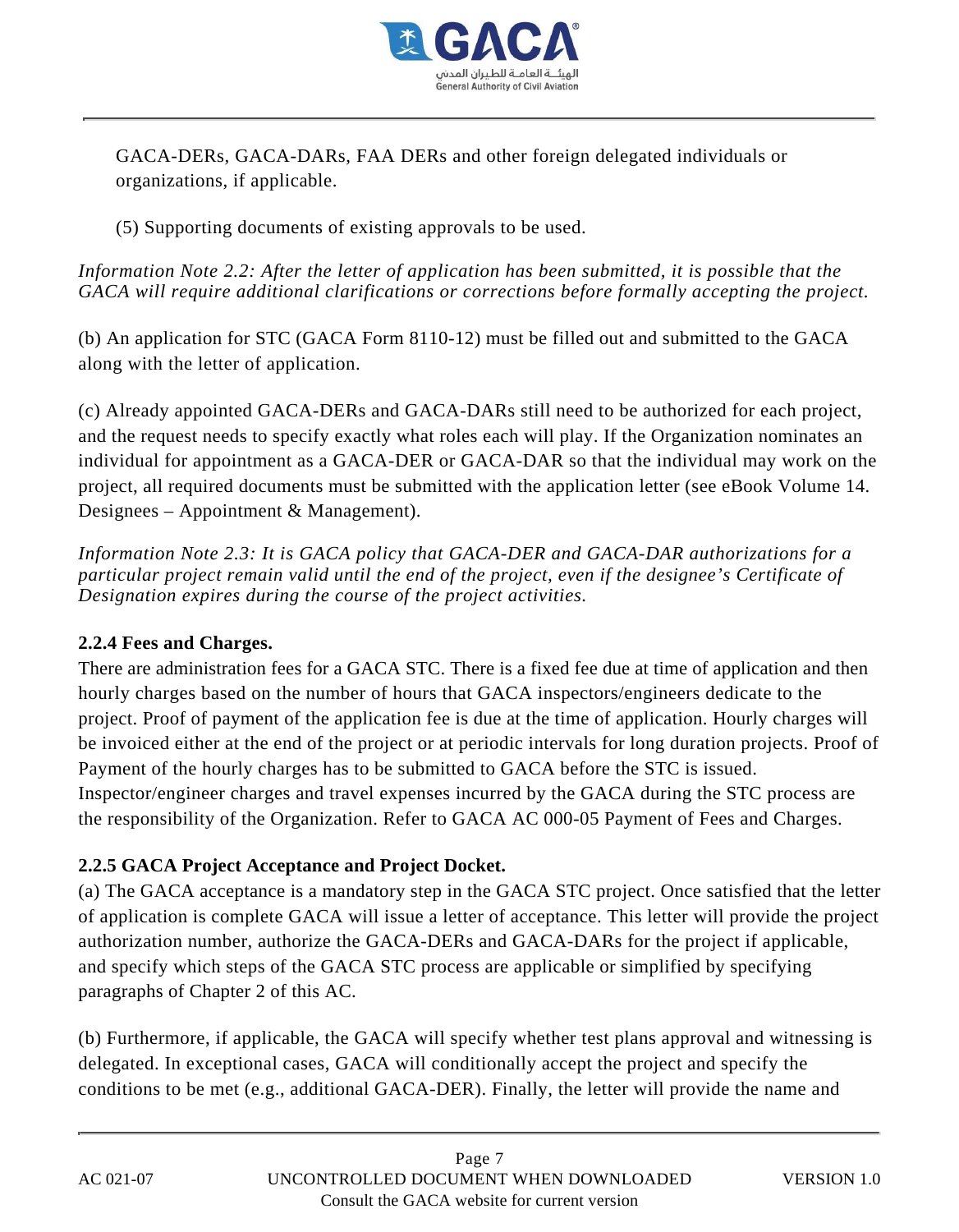

GACA-DERs, GACA-DARs, FAA DERs and other foreign delegated individuals or organizations, if applicable.

(5) Supporting documents of existing approvals to be used.

*Information Note 2.2: After the letter of application has been submitted, it is possible that the GACA will require additional clarifications or corrections before formally accepting the project.*

(b) An application for STC (GACA Form 8110-12) must be filled out and submitted to the GACA along with the letter of application.

(c) Already appointed GACA-DERs and GACA-DARs still need to be authorized for each project, and the request needs to specify exactly what roles each will play. If the Organization nominates an individual for appointment as a GACA-DER or GACA-DAR so that the individual may work on the project, all required documents must be submitted with the application letter (see eBook Volume 14. Designees – Appointment & Management).

*Information Note 2.3: It is GACA policy that GACA-DER and GACA-DAR authorizations for a particular project remain valid until the end of the project, even if the designee's Certificate of Designation expires during the course of the project activities.*

## **2.2.4 Fees and Charges.**

There are administration fees for a GACA STC. There is a fixed fee due at time of application and then hourly charges based on the number of hours that GACA inspectors/engineers dedicate to the project. Proof of payment of the application fee is due at the time of application. Hourly charges will be invoiced either at the end of the project or at periodic intervals for long duration projects. Proof of Payment of the hourly charges has to be submitted to GACA before the STC is issued. Inspector/engineer charges and travel expenses incurred by the GACA during the STC process are the responsibility of the Organization. Refer to GACA AC 000-05 Payment of Fees and Charges.

## **2.2.5 GACA Project Acceptance and Project Docket.**

(a) The GACA acceptance is a mandatory step in the GACA STC project. Once satisfied that the letter of application is complete GACA will issue a letter of acceptance. This letter will provide the project authorization number, authorize the GACA-DERs and GACA-DARs for the project if applicable, and specify which steps of the GACA STC process are applicable or simplified by specifying paragraphs of Chapter 2 of this AC.

(b) Furthermore, if applicable, the GACA will specify whether test plans approval and witnessing is delegated. In exceptional cases, GACA will conditionally accept the project and specify the conditions to be met (e.g., additional GACA-DER). Finally, the letter will provide the name and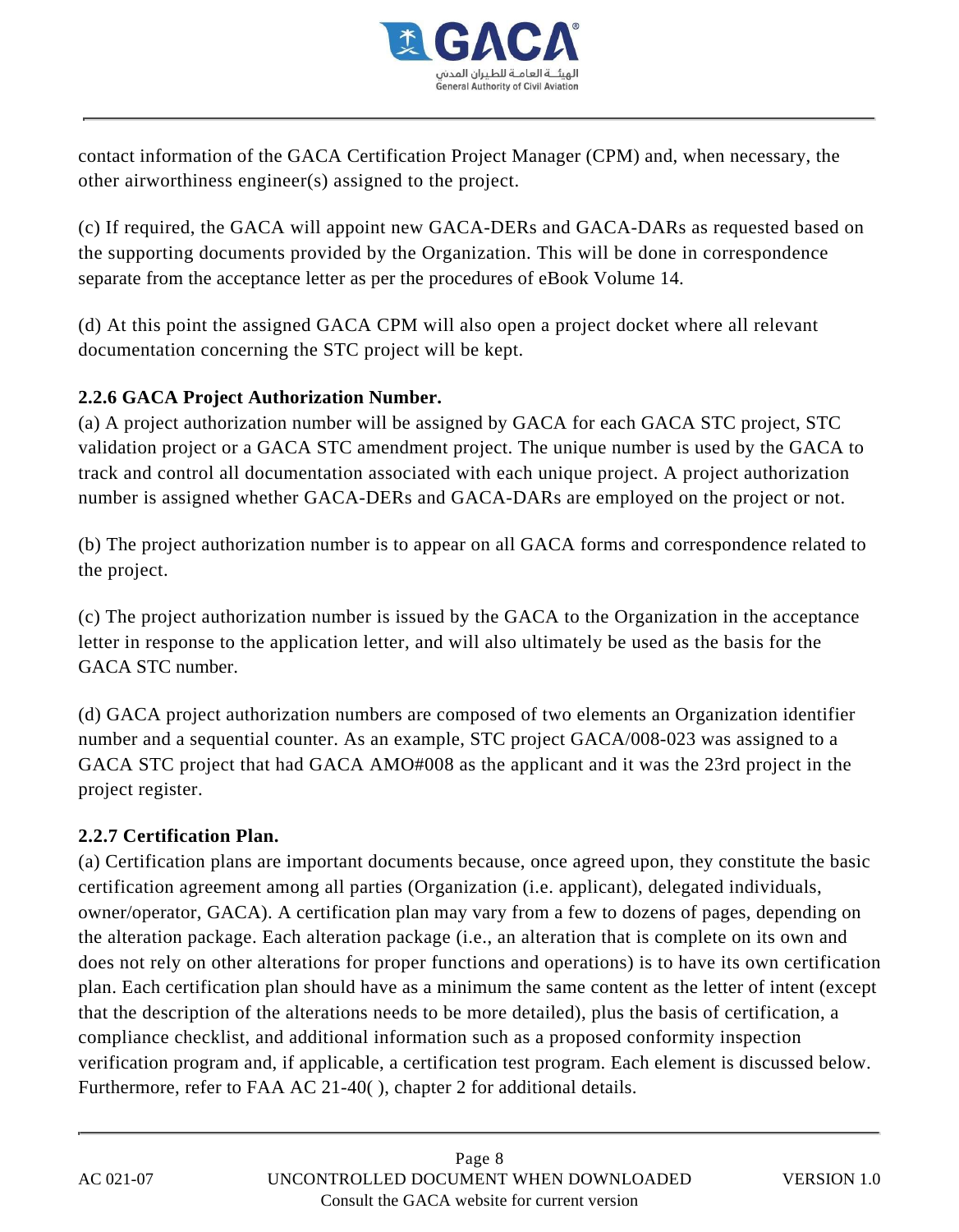

contact information of the GACA Certification Project Manager (CPM) and, when necessary, the other airworthiness engineer(s) assigned to the project.

(c) If required, the GACA will appoint new GACA-DERs and GACA-DARs as requested based on the supporting documents provided by the Organization. This will be done in correspondence separate from the acceptance letter as per the procedures of eBook Volume 14.

(d) At this point the assigned GACA CPM will also open a project docket where all relevant documentation concerning the STC project will be kept.

## **2.2.6 GACA Project Authorization Number.**

(a) A project authorization number will be assigned by GACA for each GACA STC project, STC validation project or a GACA STC amendment project. The unique number is used by the GACA to track and control all documentation associated with each unique project. A project authorization number is assigned whether GACA-DERs and GACA-DARs are employed on the project or not.

(b) The project authorization number is to appear on all GACA forms and correspondence related to the project.

(c) The project authorization number is issued by the GACA to the Organization in the acceptance letter in response to the application letter, and will also ultimately be used as the basis for the GACA STC number.

(d) GACA project authorization numbers are composed of two elements an Organization identifier number and a sequential counter. As an example, STC project GACA/008-023 was assigned to a GACA STC project that had GACA AMO#008 as the applicant and it was the 23rd project in the project register.

#### **2.2.7 Certification Plan.**

(a) Certification plans are important documents because, once agreed upon, they constitute the basic certification agreement among all parties (Organization (i.e. applicant), delegated individuals, owner/operator, GACA). A certification plan may vary from a few to dozens of pages, depending on the alteration package. Each alteration package (i.e., an alteration that is complete on its own and does not rely on other alterations for proper functions and operations) is to have its own certification plan. Each certification plan should have as a minimum the same content as the letter of intent (except that the description of the alterations needs to be more detailed), plus the basis of certification, a compliance checklist, and additional information such as a proposed conformity inspection verification program and, if applicable, a certification test program. Each element is discussed below. Furthermore, refer to FAA AC 21-40( ), chapter 2 for additional details.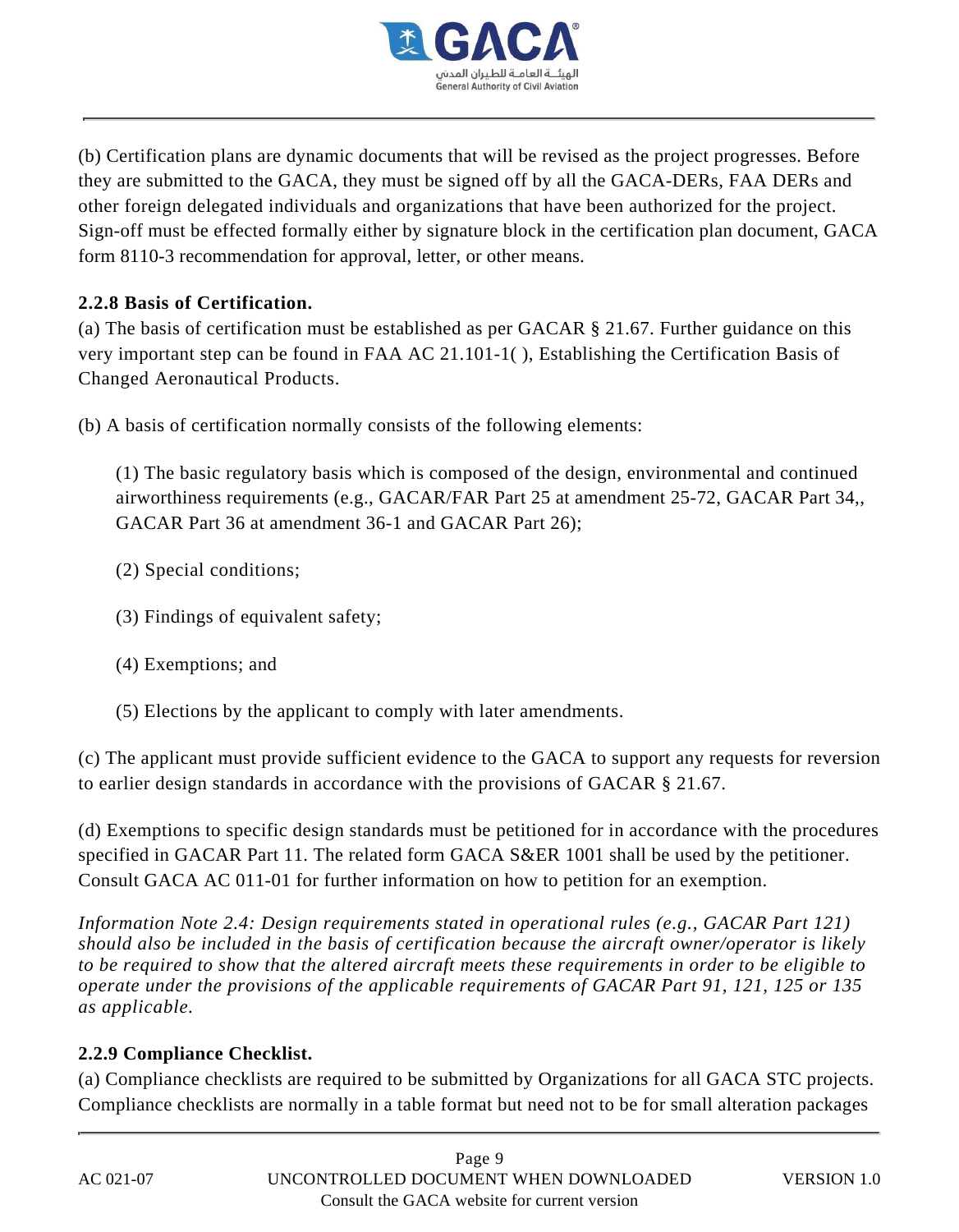

(b) Certification plans are dynamic documents that will be revised as the project progresses. Before they are submitted to the GACA, they must be signed off by all the GACA-DERs, FAA DERs and other foreign delegated individuals and organizations that have been authorized for the project. Sign-off must be effected formally either by signature block in the certification plan document, GACA form 8110-3 recommendation for approval, letter, or other means.

## **2.2.8 Basis of Certification.**

(a) The basis of certification must be established as per GACAR § 21.67. Further guidance on this very important step can be found in FAA AC 21.101-1( ), Establishing the Certification Basis of Changed Aeronautical Products.

(b) A basis of certification normally consists of the following elements:

(1) The basic regulatory basis which is composed of the design, environmental and continued airworthiness requirements (e.g., GACAR/FAR Part 25 at amendment 25-72, GACAR Part 34,, GACAR Part 36 at amendment 36-1 and GACAR Part 26);

- (2) Special conditions;
- (3) Findings of equivalent safety;
- (4) Exemptions; and
- (5) Elections by the applicant to comply with later amendments.

(c) The applicant must provide sufficient evidence to the GACA to support any requests for reversion to earlier design standards in accordance with the provisions of GACAR § 21.67.

(d) Exemptions to specific design standards must be petitioned for in accordance with the procedures specified in GACAR Part 11. The related form GACA S&ER 1001 shall be used by the petitioner. Consult GACA AC 011-01 for further information on how to petition for an exemption.

*Information Note 2.4: Design requirements stated in operational rules (e.g., GACAR Part 121) should also be included in the basis of certification because the aircraft owner/operator is likely to be required to show that the altered aircraft meets these requirements in order to be eligible to operate under the provisions of the applicable requirements of GACAR Part 91, 121, 125 or 135 as applicable.*

#### **2.2.9 Compliance Checklist.**

(a) Compliance checklists are required to be submitted by Organizations for all GACA STC projects. Compliance checklists are normally in a table format but need not to be for small alteration packages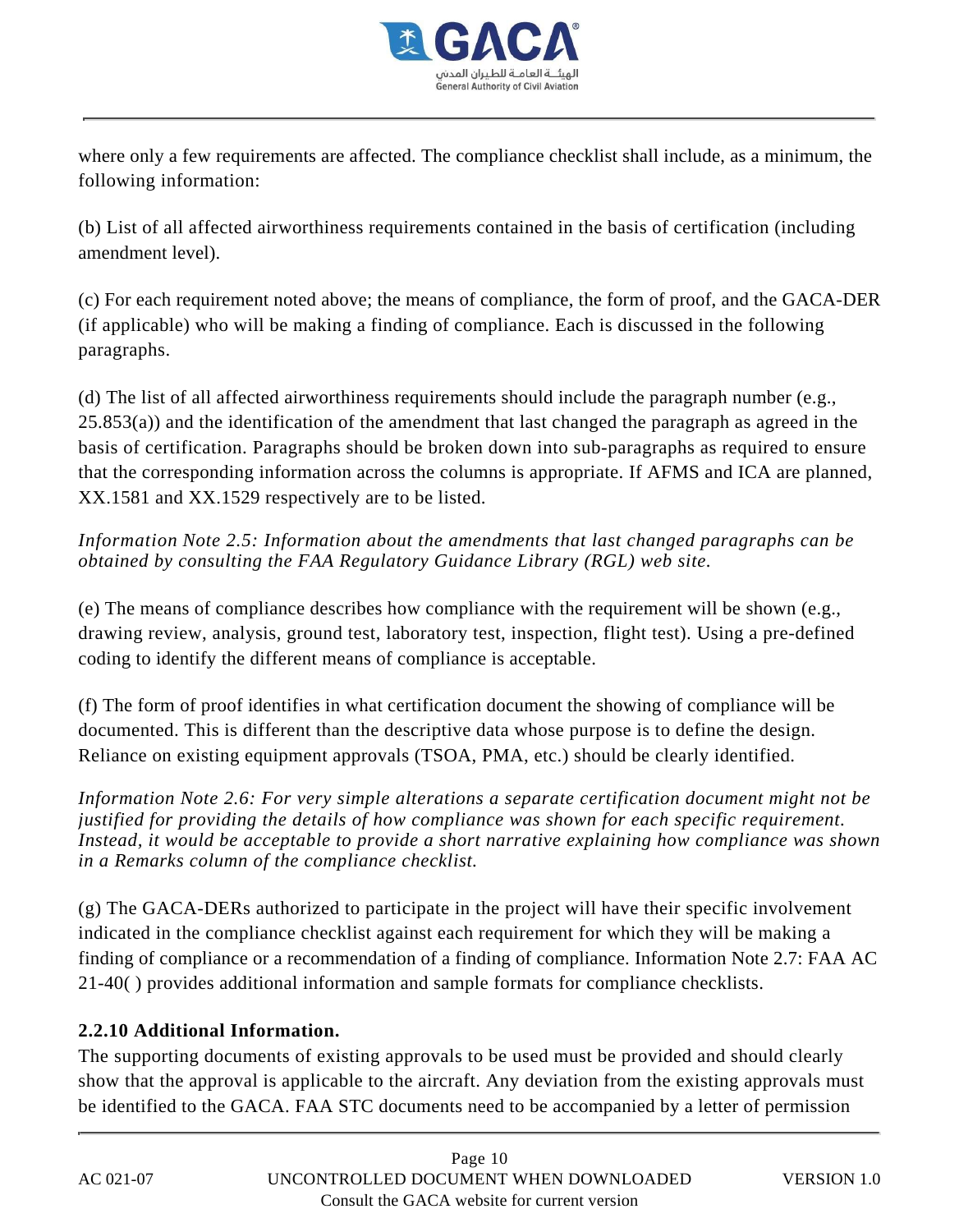

where only a few requirements are affected. The compliance checklist shall include, as a minimum, the following information:

(b) List of all affected airworthiness requirements contained in the basis of certification (including amendment level).

(c) For each requirement noted above; the means of compliance, the form of proof, and the GACA-DER (if applicable) who will be making a finding of compliance. Each is discussed in the following paragraphs.

(d) The list of all affected airworthiness requirements should include the paragraph number (e.g., 25.853(a)) and the identification of the amendment that last changed the paragraph as agreed in the basis of certification. Paragraphs should be broken down into sub-paragraphs as required to ensure that the corresponding information across the columns is appropriate. If AFMS and ICA are planned, XX.1581 and XX.1529 respectively are to be listed.

*Information Note 2.5: Information about the amendments that last changed paragraphs can be obtained by consulting the FAA Regulatory Guidance Library (RGL) web site.*

(e) The means of compliance describes how compliance with the requirement will be shown (e.g., drawing review, analysis, ground test, laboratory test, inspection, flight test). Using a pre-defined coding to identify the different means of compliance is acceptable.

(f) The form of proof identifies in what certification document the showing of compliance will be documented. This is different than the descriptive data whose purpose is to define the design. Reliance on existing equipment approvals (TSOA, PMA, etc.) should be clearly identified.

*Information Note 2.6: For very simple alterations a separate certification document might not be justified for providing the details of how compliance was shown for each specific requirement. Instead, it would be acceptable to provide a short narrative explaining how compliance was shown in a Remarks column of the compliance checklist.*

(g) The GACA-DERs authorized to participate in the project will have their specific involvement indicated in the compliance checklist against each requirement for which they will be making a finding of compliance or a recommendation of a finding of compliance. Information Note 2.7: FAA AC 21-40( ) provides additional information and sample formats for compliance checklists.

## **2.2.10 Additional Information.**

The supporting documents of existing approvals to be used must be provided and should clearly show that the approval is applicable to the aircraft. Any deviation from the existing approvals must be identified to the GACA. FAA STC documents need to be accompanied by a letter of permission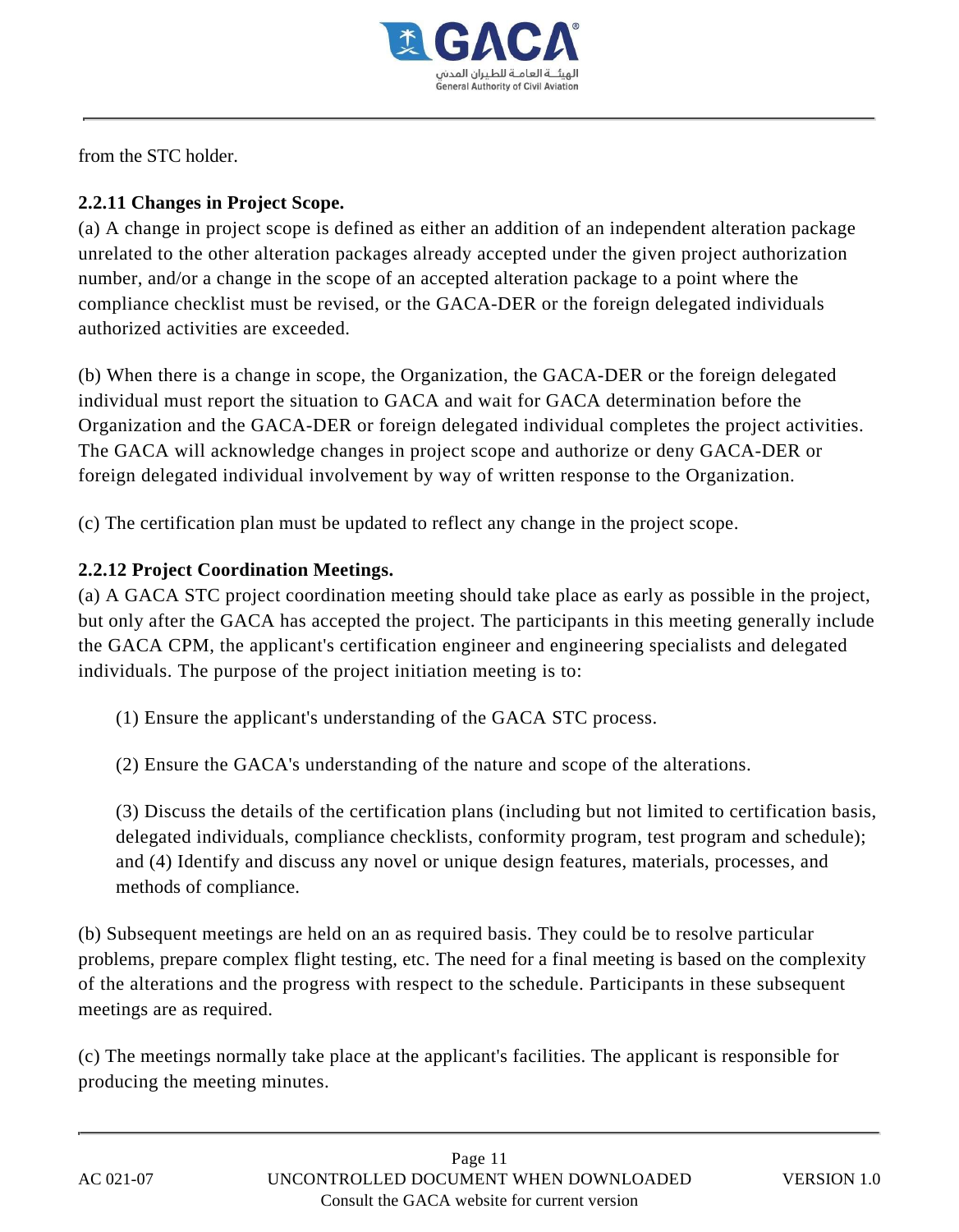

from the STC holder.

## **2.2.11 Changes in Project Scope.**

(a) A change in project scope is defined as either an addition of an independent alteration package unrelated to the other alteration packages already accepted under the given project authorization number, and/or a change in the scope of an accepted alteration package to a point where the compliance checklist must be revised, or the GACA-DER or the foreign delegated individuals authorized activities are exceeded.

(b) When there is a change in scope, the Organization, the GACA-DER or the foreign delegated individual must report the situation to GACA and wait for GACA determination before the Organization and the GACA-DER or foreign delegated individual completes the project activities. The GACA will acknowledge changes in project scope and authorize or deny GACA-DER or foreign delegated individual involvement by way of written response to the Organization.

(c) The certification plan must be updated to reflect any change in the project scope.

## **2.2.12 Project Coordination Meetings.**

(a) A GACA STC project coordination meeting should take place as early as possible in the project, but only after the GACA has accepted the project. The participants in this meeting generally include the GACA CPM, the applicant's certification engineer and engineering specialists and delegated individuals. The purpose of the project initiation meeting is to:

(1) Ensure the applicant's understanding of the GACA STC process.

(2) Ensure the GACA's understanding of the nature and scope of the alterations.

(3) Discuss the details of the certification plans (including but not limited to certification basis, delegated individuals, compliance checklists, conformity program, test program and schedule); and (4) Identify and discuss any novel or unique design features, materials, processes, and methods of compliance.

(b) Subsequent meetings are held on an as required basis. They could be to resolve particular problems, prepare complex flight testing, etc. The need for a final meeting is based on the complexity of the alterations and the progress with respect to the schedule. Participants in these subsequent meetings are as required.

(c) The meetings normally take place at the applicant's facilities. The applicant is responsible for producing the meeting minutes.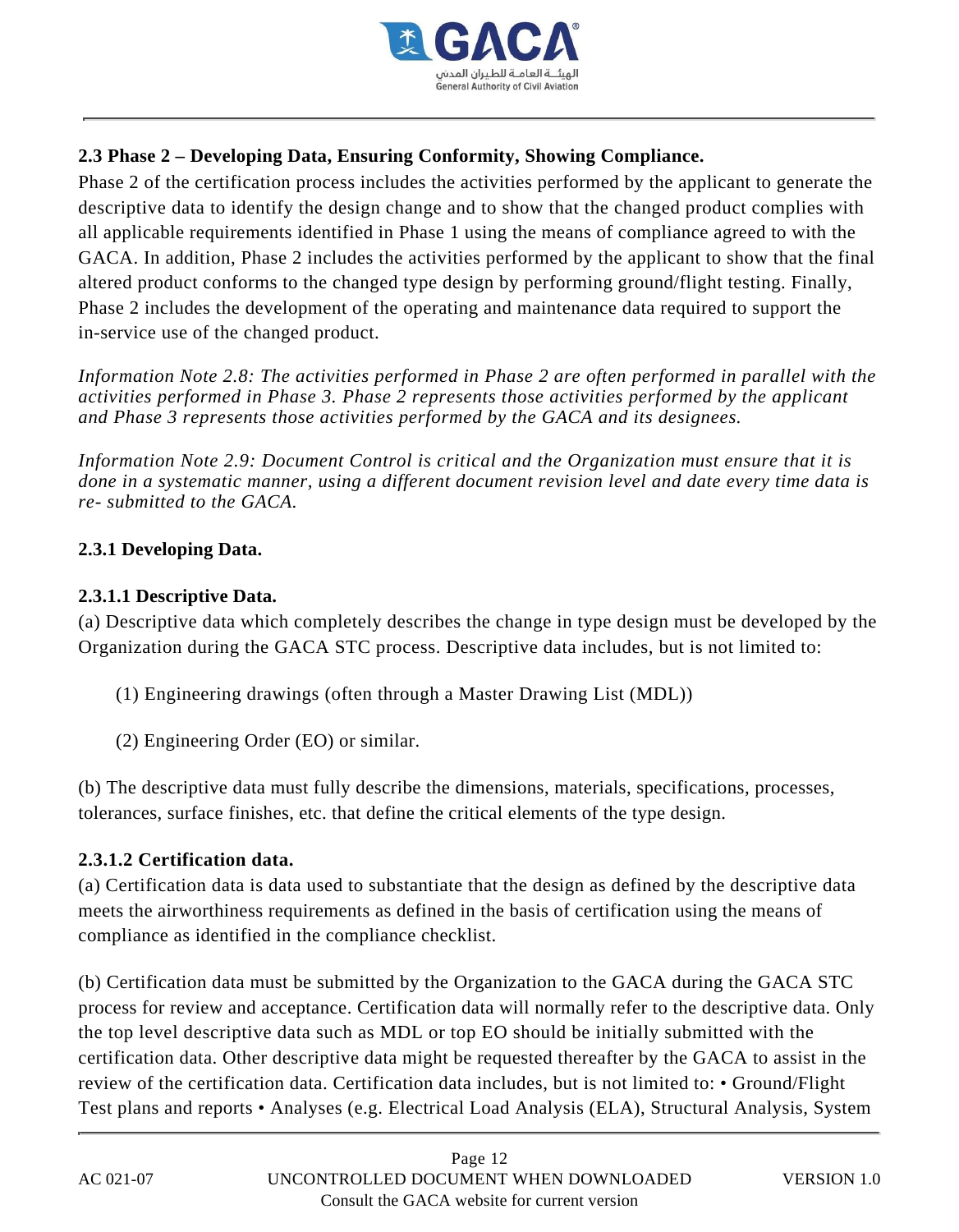

## **2.3 Phase 2 – Developing Data, Ensuring Conformity, Showing Compliance.**

Phase 2 of the certification process includes the activities performed by the applicant to generate the descriptive data to identify the design change and to show that the changed product complies with all applicable requirements identified in Phase 1 using the means of compliance agreed to with the GACA. In addition, Phase 2 includes the activities performed by the applicant to show that the final altered product conforms to the changed type design by performing ground/flight testing. Finally, Phase 2 includes the development of the operating and maintenance data required to support the in-service use of the changed product.

*Information Note 2.8: The activities performed in Phase 2 are often performed in parallel with the activities performed in Phase 3. Phase 2 represents those activities performed by the applicant and Phase 3 represents those activities performed by the GACA and its designees.*

*Information Note 2.9: Document Control is critical and the Organization must ensure that it is done in a systematic manner, using a different document revision level and date every time data is re- submitted to the GACA.*

## **2.3.1 Developing Data.**

## **2.3.1.1 Descriptive Data.**

(a) Descriptive data which completely describes the change in type design must be developed by the Organization during the GACA STC process. Descriptive data includes, but is not limited to:

- (1) Engineering drawings (often through a Master Drawing List (MDL))
- (2) Engineering Order (EO) or similar.

(b) The descriptive data must fully describe the dimensions, materials, specifications, processes, tolerances, surface finishes, etc. that define the critical elements of the type design.

## **2.3.1.2 Certification data.**

(a) Certification data is data used to substantiate that the design as defined by the descriptive data meets the airworthiness requirements as defined in the basis of certification using the means of compliance as identified in the compliance checklist.

(b) Certification data must be submitted by the Organization to the GACA during the GACA STC process for review and acceptance. Certification data will normally refer to the descriptive data. Only the top level descriptive data such as MDL or top EO should be initially submitted with the certification data. Other descriptive data might be requested thereafter by the GACA to assist in the review of the certification data. Certification data includes, but is not limited to: • Ground/Flight Test plans and reports • Analyses (e.g. Electrical Load Analysis (ELA), Structural Analysis, System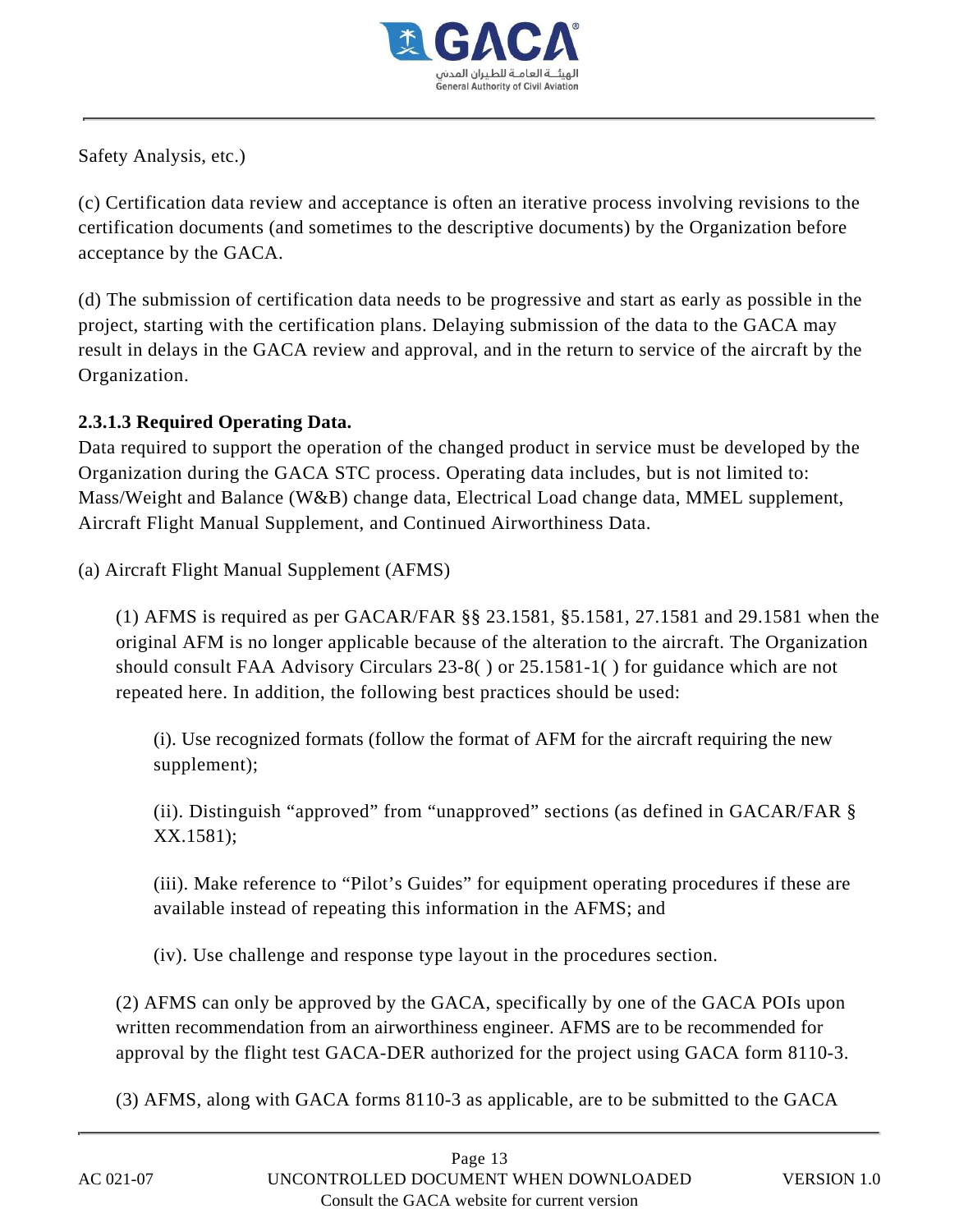

Safety Analysis, etc.)

(c) Certification data review and acceptance is often an iterative process involving revisions to the certification documents (and sometimes to the descriptive documents) by the Organization before acceptance by the GACA.

(d) The submission of certification data needs to be progressive and start as early as possible in the project, starting with the certification plans. Delaying submission of the data to the GACA may result in delays in the GACA review and approval, and in the return to service of the aircraft by the Organization.

## **2.3.1.3 Required Operating Data.**

Data required to support the operation of the changed product in service must be developed by the Organization during the GACA STC process. Operating data includes, but is not limited to: Mass/Weight and Balance (W&B) change data, Electrical Load change data, MMEL supplement, Aircraft Flight Manual Supplement, and Continued Airworthiness Data.

(a) Aircraft Flight Manual Supplement (AFMS)

(1) AFMS is required as per GACAR/FAR §§ 23.1581, §5.1581, 27.1581 and 29.1581 when the original AFM is no longer applicable because of the alteration to the aircraft. The Organization should consult FAA Advisory Circulars 23-8( ) or 25.1581-1( ) for guidance which are not repeated here. In addition, the following best practices should be used:

(i). Use recognized formats (follow the format of AFM for the aircraft requiring the new supplement);

(ii). Distinguish "approved" from "unapproved" sections (as defined in GACAR/FAR § XX.1581);

(iii). Make reference to "Pilot's Guides" for equipment operating procedures if these are available instead of repeating this information in the AFMS; and

(iv). Use challenge and response type layout in the procedures section.

(2) AFMS can only be approved by the GACA, specifically by one of the GACA POIs upon written recommendation from an airworthiness engineer. AFMS are to be recommended for approval by the flight test GACA-DER authorized for the project using GACA form 8110-3.

(3) AFMS, along with GACA forms 8110-3 as applicable, are to be submitted to the GACA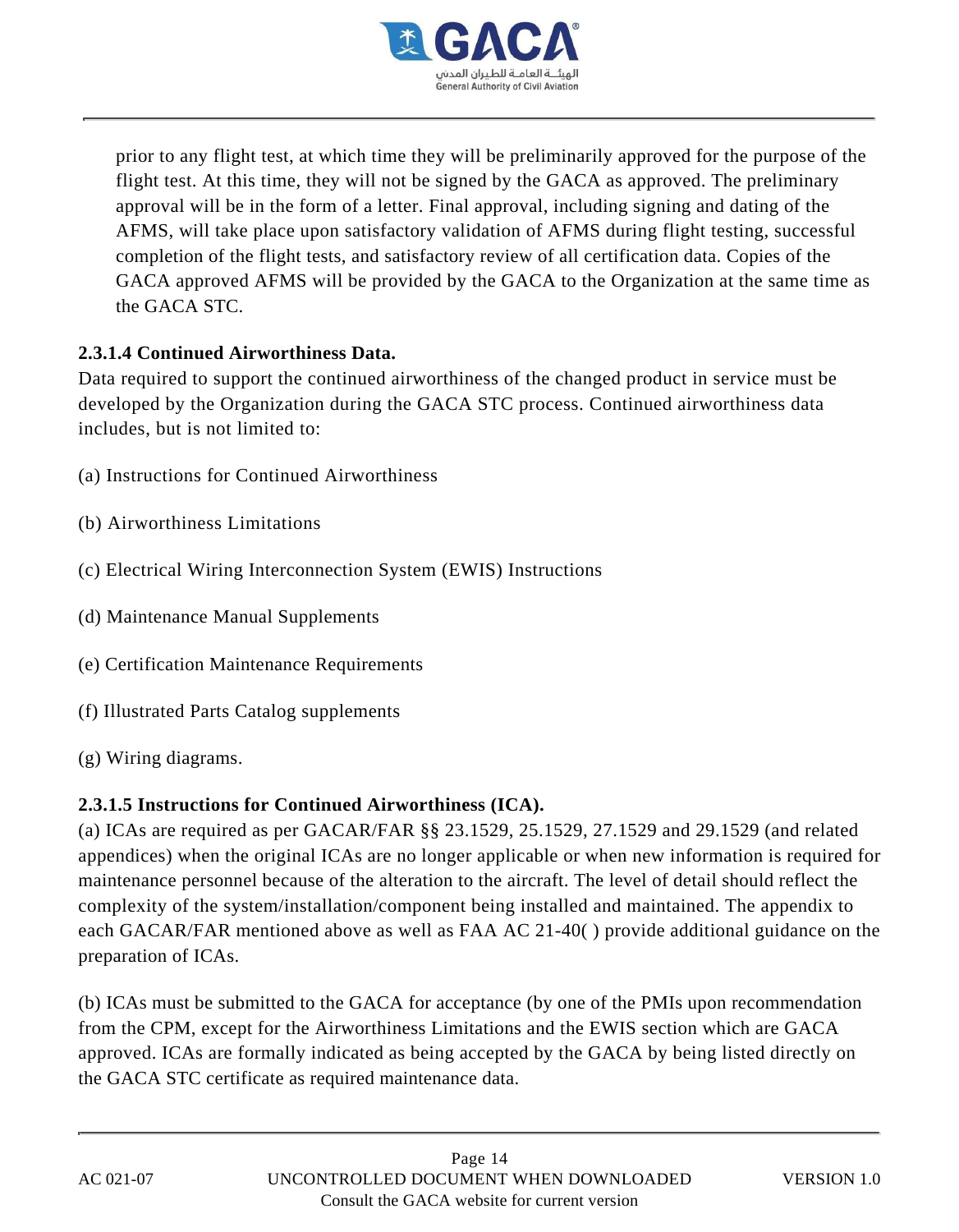

prior to any flight test, at which time they will be preliminarily approved for the purpose of the flight test. At this time, they will not be signed by the GACA as approved. The preliminary approval will be in the form of a letter. Final approval, including signing and dating of the AFMS, will take place upon satisfactory validation of AFMS during flight testing, successful completion of the flight tests, and satisfactory review of all certification data. Copies of the GACA approved AFMS will be provided by the GACA to the Organization at the same time as the GACA STC.

## **2.3.1.4 Continued Airworthiness Data.**

Data required to support the continued airworthiness of the changed product in service must be developed by the Organization during the GACA STC process. Continued airworthiness data includes, but is not limited to:

- (a) Instructions for Continued Airworthiness
- (b) Airworthiness Limitations
- (c) Electrical Wiring Interconnection System (EWIS) Instructions
- (d) Maintenance Manual Supplements
- (e) Certification Maintenance Requirements
- (f) Illustrated Parts Catalog supplements
- (g) Wiring diagrams.

## **2.3.1.5 Instructions for Continued Airworthiness (ICA).**

(a) ICAs are required as per GACAR/FAR §§ 23.1529, 25.1529, 27.1529 and 29.1529 (and related appendices) when the original ICAs are no longer applicable or when new information is required for maintenance personnel because of the alteration to the aircraft. The level of detail should reflect the complexity of the system/installation/component being installed and maintained. The appendix to each GACAR/FAR mentioned above as well as FAA AC 21-40( ) provide additional guidance on the preparation of ICAs.

(b) ICAs must be submitted to the GACA for acceptance (by one of the PMIs upon recommendation from the CPM, except for the Airworthiness Limitations and the EWIS section which are GACA approved. ICAs are formally indicated as being accepted by the GACA by being listed directly on the GACA STC certificate as required maintenance data.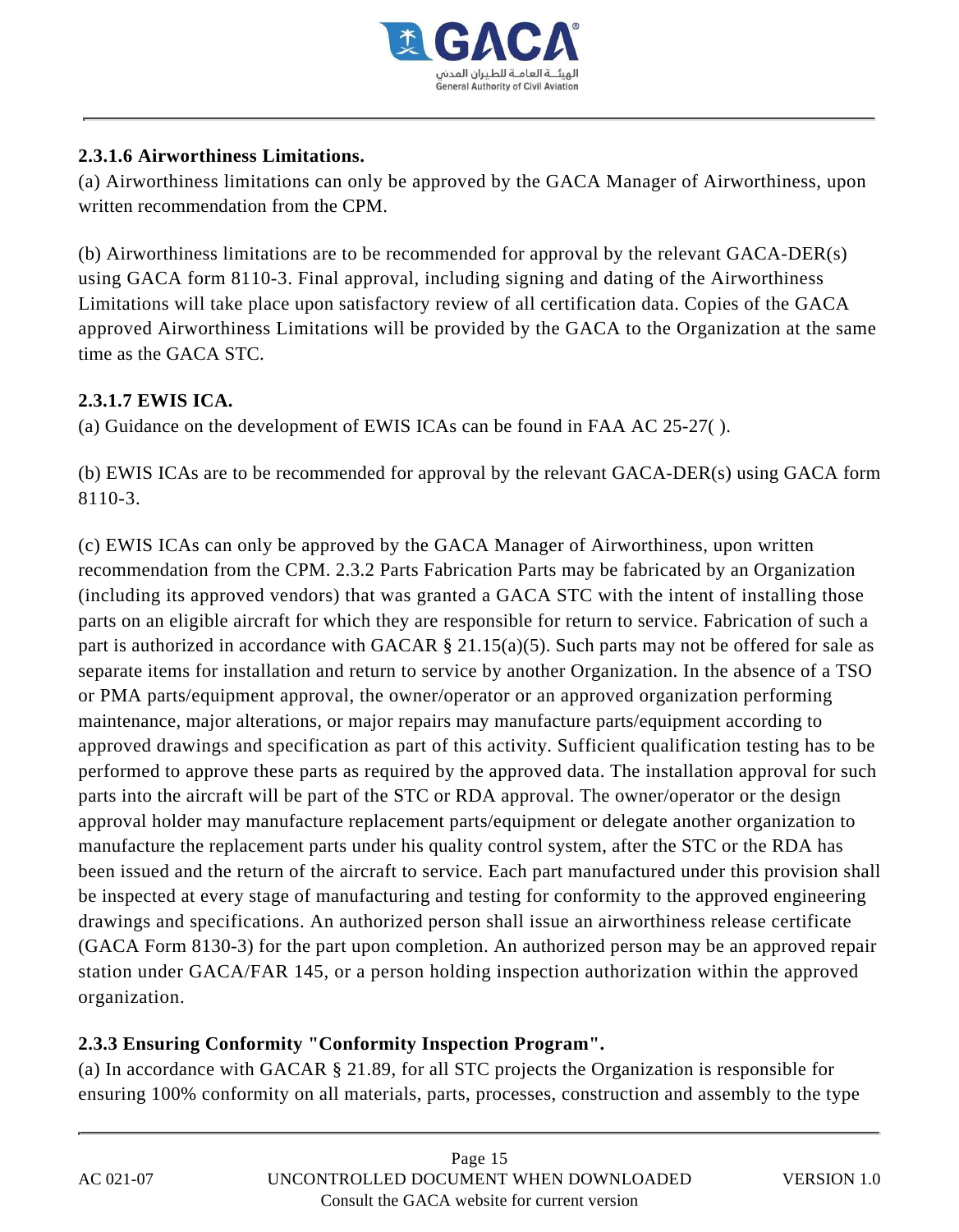

## **2.3.1.6 Airworthiness Limitations.**

(a) Airworthiness limitations can only be approved by the GACA Manager of Airworthiness, upon written recommendation from the CPM.

(b) Airworthiness limitations are to be recommended for approval by the relevant GACA-DER(s) using GACA form 8110-3. Final approval, including signing and dating of the Airworthiness Limitations will take place upon satisfactory review of all certification data. Copies of the GACA approved Airworthiness Limitations will be provided by the GACA to the Organization at the same time as the GACA STC.

## **2.3.1.7 EWIS ICA.**

(a) Guidance on the development of EWIS ICAs can be found in FAA AC 25-27( ).

(b) EWIS ICAs are to be recommended for approval by the relevant GACA-DER(s) using GACA form 8110-3.

(c) EWIS ICAs can only be approved by the GACA Manager of Airworthiness, upon written recommendation from the CPM. 2.3.2 Parts Fabrication Parts may be fabricated by an Organization (including its approved vendors) that was granted a GACA STC with the intent of installing those parts on an eligible aircraft for which they are responsible for return to service. Fabrication of such a part is authorized in accordance with GACAR § 21.15(a)(5). Such parts may not be offered for sale as separate items for installation and return to service by another Organization. In the absence of a TSO or PMA parts/equipment approval, the owner/operator or an approved organization performing maintenance, major alterations, or major repairs may manufacture parts/equipment according to approved drawings and specification as part of this activity. Sufficient qualification testing has to be performed to approve these parts as required by the approved data. The installation approval for such parts into the aircraft will be part of the STC or RDA approval. The owner/operator or the design approval holder may manufacture replacement parts/equipment or delegate another organization to manufacture the replacement parts under his quality control system, after the STC or the RDA has been issued and the return of the aircraft to service. Each part manufactured under this provision shall be inspected at every stage of manufacturing and testing for conformity to the approved engineering drawings and specifications. An authorized person shall issue an airworthiness release certificate (GACA Form 8130-3) for the part upon completion. An authorized person may be an approved repair station under GACA/FAR 145, or a person holding inspection authorization within the approved organization.

## **2.3.3 Ensuring Conformity "Conformity Inspection Program".**

(a) In accordance with GACAR § 21.89, for all STC projects the Organization is responsible for ensuring 100% conformity on all materials, parts, processes, construction and assembly to the type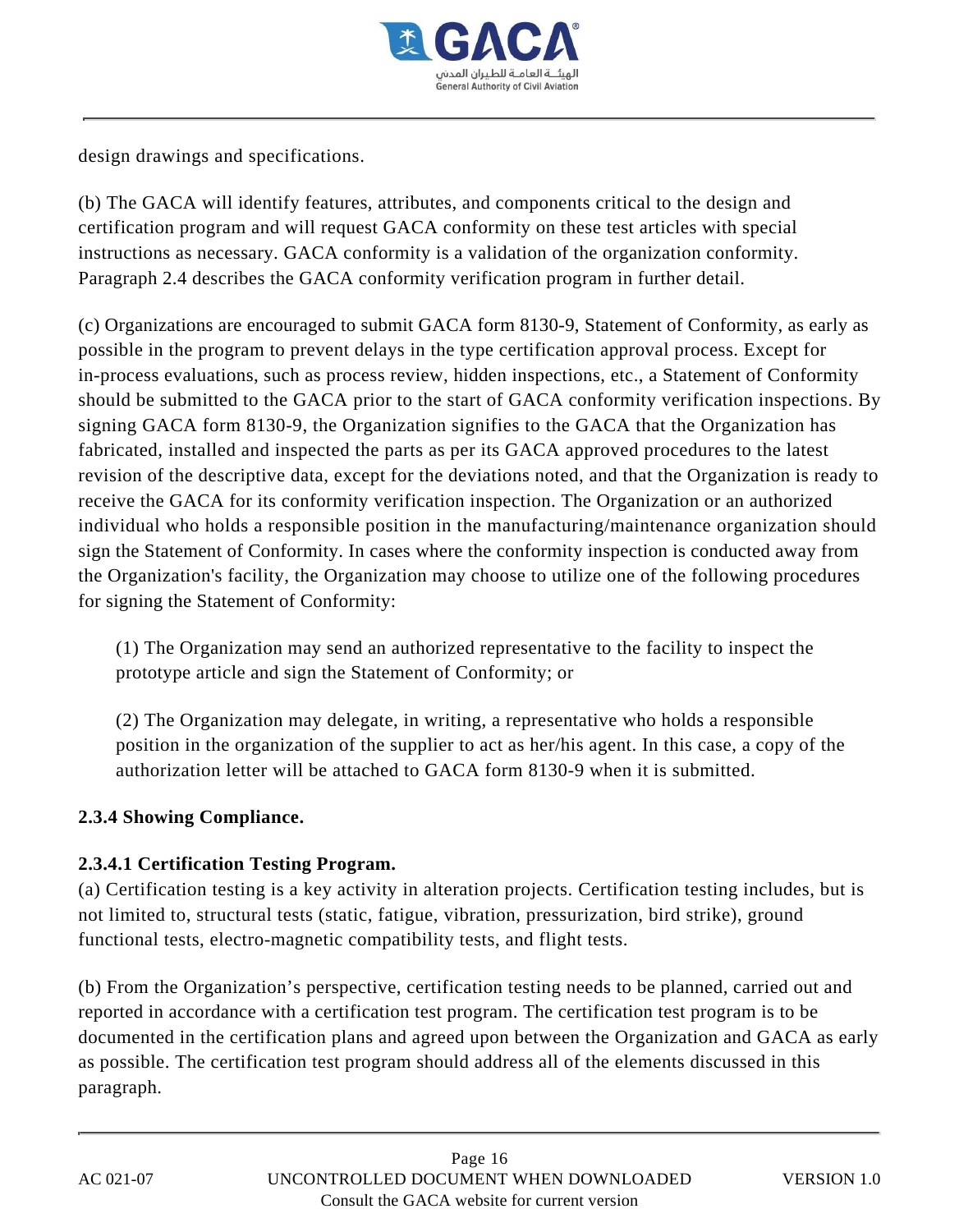

design drawings and specifications.

(b) The GACA will identify features, attributes, and components critical to the design and certification program and will request GACA conformity on these test articles with special instructions as necessary. GACA conformity is a validation of the organization conformity. Paragraph 2.4 describes the GACA conformity verification program in further detail.

(c) Organizations are encouraged to submit GACA form 8130-9, Statement of Conformity, as early as possible in the program to prevent delays in the type certification approval process. Except for in-process evaluations, such as process review, hidden inspections, etc., a Statement of Conformity should be submitted to the GACA prior to the start of GACA conformity verification inspections. By signing GACA form 8130-9, the Organization signifies to the GACA that the Organization has fabricated, installed and inspected the parts as per its GACA approved procedures to the latest revision of the descriptive data, except for the deviations noted, and that the Organization is ready to receive the GACA for its conformity verification inspection. The Organization or an authorized individual who holds a responsible position in the manufacturing/maintenance organization should sign the Statement of Conformity. In cases where the conformity inspection is conducted away from the Organization's facility, the Organization may choose to utilize one of the following procedures for signing the Statement of Conformity:

(1) The Organization may send an authorized representative to the facility to inspect the prototype article and sign the Statement of Conformity; or

(2) The Organization may delegate, in writing, a representative who holds a responsible position in the organization of the supplier to act as her/his agent. In this case, a copy of the authorization letter will be attached to GACA form 8130-9 when it is submitted.

## **2.3.4 Showing Compliance.**

## **2.3.4.1 Certification Testing Program.**

(a) Certification testing is a key activity in alteration projects. Certification testing includes, but is not limited to, structural tests (static, fatigue, vibration, pressurization, bird strike), ground functional tests, electro-magnetic compatibility tests, and flight tests.

(b) From the Organization's perspective, certification testing needs to be planned, carried out and reported in accordance with a certification test program. The certification test program is to be documented in the certification plans and agreed upon between the Organization and GACA as early as possible. The certification test program should address all of the elements discussed in this paragraph.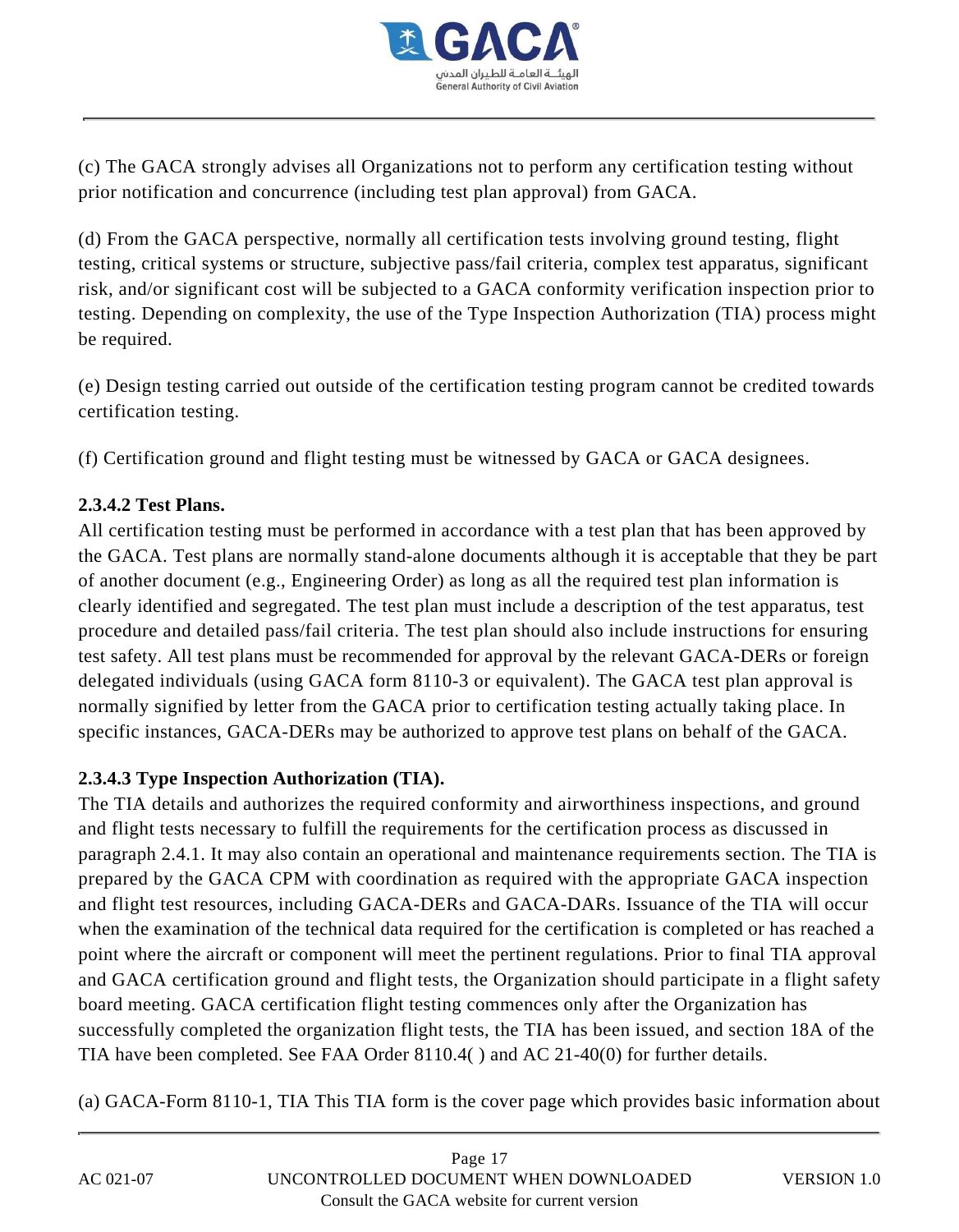

(c) The GACA strongly advises all Organizations not to perform any certification testing without prior notification and concurrence (including test plan approval) from GACA.

(d) From the GACA perspective, normally all certification tests involving ground testing, flight testing, critical systems or structure, subjective pass/fail criteria, complex test apparatus, significant risk, and/or significant cost will be subjected to a GACA conformity verification inspection prior to testing. Depending on complexity, the use of the Type Inspection Authorization (TIA) process might be required.

(e) Design testing carried out outside of the certification testing program cannot be credited towards certification testing.

(f) Certification ground and flight testing must be witnessed by GACA or GACA designees.

## **2.3.4.2 Test Plans.**

All certification testing must be performed in accordance with a test plan that has been approved by the GACA. Test plans are normally stand-alone documents although it is acceptable that they be part of another document (e.g., Engineering Order) as long as all the required test plan information is clearly identified and segregated. The test plan must include a description of the test apparatus, test procedure and detailed pass/fail criteria. The test plan should also include instructions for ensuring test safety. All test plans must be recommended for approval by the relevant GACA-DERs or foreign delegated individuals (using GACA form 8110-3 or equivalent). The GACA test plan approval is normally signified by letter from the GACA prior to certification testing actually taking place. In specific instances, GACA-DERs may be authorized to approve test plans on behalf of the GACA.

## **2.3.4.3 Type Inspection Authorization (TIA).**

The TIA details and authorizes the required conformity and airworthiness inspections, and ground and flight tests necessary to fulfill the requirements for the certification process as discussed in paragraph 2.4.1. It may also contain an operational and maintenance requirements section. The TIA is prepared by the GACA CPM with coordination as required with the appropriate GACA inspection and flight test resources, including GACA-DERs and GACA-DARs. Issuance of the TIA will occur when the examination of the technical data required for the certification is completed or has reached a point where the aircraft or component will meet the pertinent regulations. Prior to final TIA approval and GACA certification ground and flight tests, the Organization should participate in a flight safety board meeting. GACA certification flight testing commences only after the Organization has successfully completed the organization flight tests, the TIA has been issued, and section 18A of the TIA have been completed. See FAA Order 8110.4( ) and AC 21-40(0) for further details.

(a) GACA-Form 8110-1, TIA This TIA form is the cover page which provides basic information about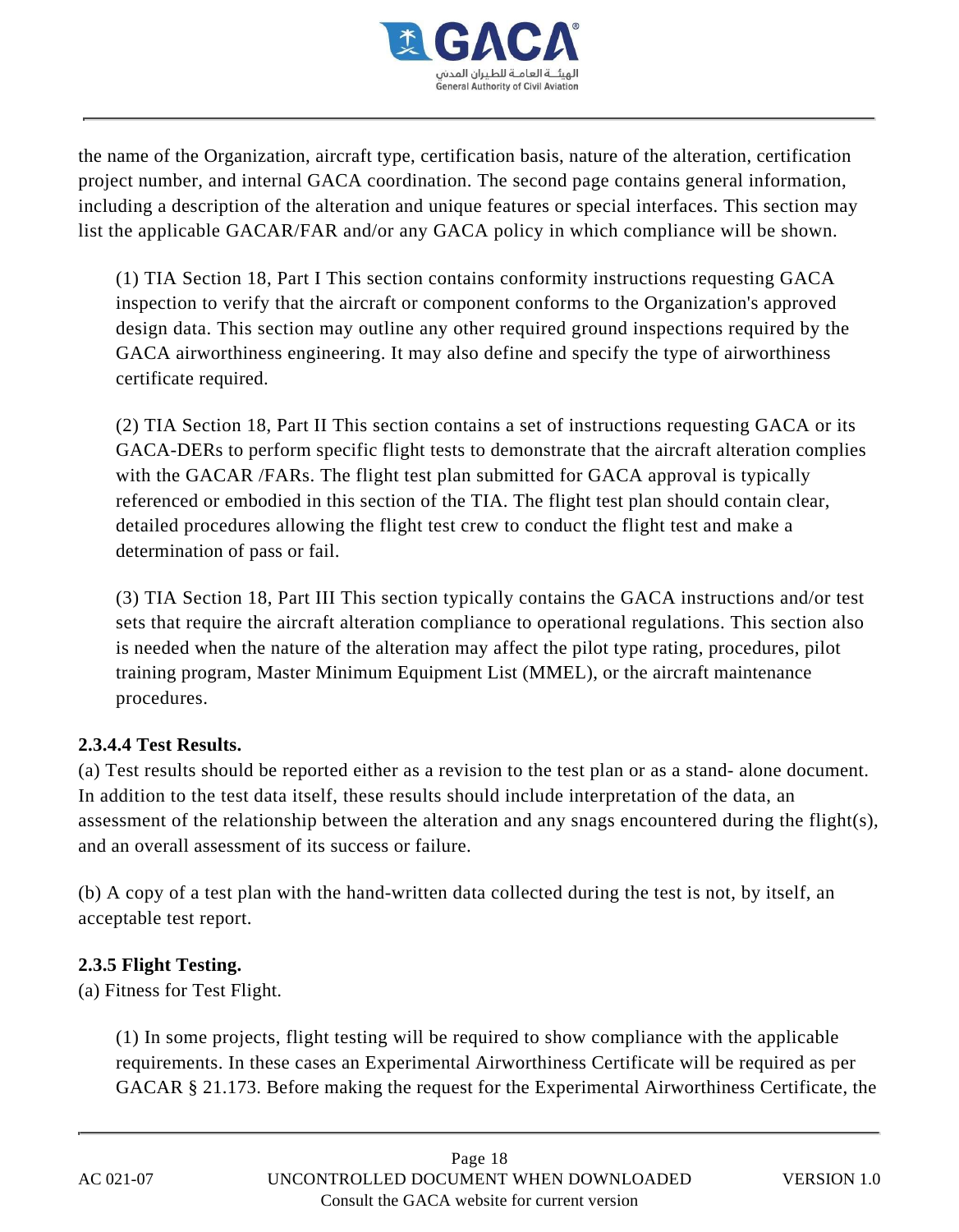

the name of the Organization, aircraft type, certification basis, nature of the alteration, certification project number, and internal GACA coordination. The second page contains general information, including a description of the alteration and unique features or special interfaces. This section may list the applicable GACAR/FAR and/or any GACA policy in which compliance will be shown.

(1) TIA Section 18, Part I This section contains conformity instructions requesting GACA inspection to verify that the aircraft or component conforms to the Organization's approved design data. This section may outline any other required ground inspections required by the GACA airworthiness engineering. It may also define and specify the type of airworthiness certificate required.

(2) TIA Section 18, Part II This section contains a set of instructions requesting GACA or its GACA-DERs to perform specific flight tests to demonstrate that the aircraft alteration complies with the GACAR /FARs. The flight test plan submitted for GACA approval is typically referenced or embodied in this section of the TIA. The flight test plan should contain clear, detailed procedures allowing the flight test crew to conduct the flight test and make a determination of pass or fail.

(3) TIA Section 18, Part III This section typically contains the GACA instructions and/or test sets that require the aircraft alteration compliance to operational regulations. This section also is needed when the nature of the alteration may affect the pilot type rating, procedures, pilot training program, Master Minimum Equipment List (MMEL), or the aircraft maintenance procedures.

#### **2.3.4.4 Test Results.**

(a) Test results should be reported either as a revision to the test plan or as a stand- alone document. In addition to the test data itself, these results should include interpretation of the data, an assessment of the relationship between the alteration and any snags encountered during the flight(s), and an overall assessment of its success or failure.

(b) A copy of a test plan with the hand-written data collected during the test is not, by itself, an acceptable test report.

## **2.3.5 Flight Testing.**

(a) Fitness for Test Flight.

(1) In some projects, flight testing will be required to show compliance with the applicable requirements. In these cases an Experimental Airworthiness Certificate will be required as per GACAR § 21.173. Before making the request for the Experimental Airworthiness Certificate, the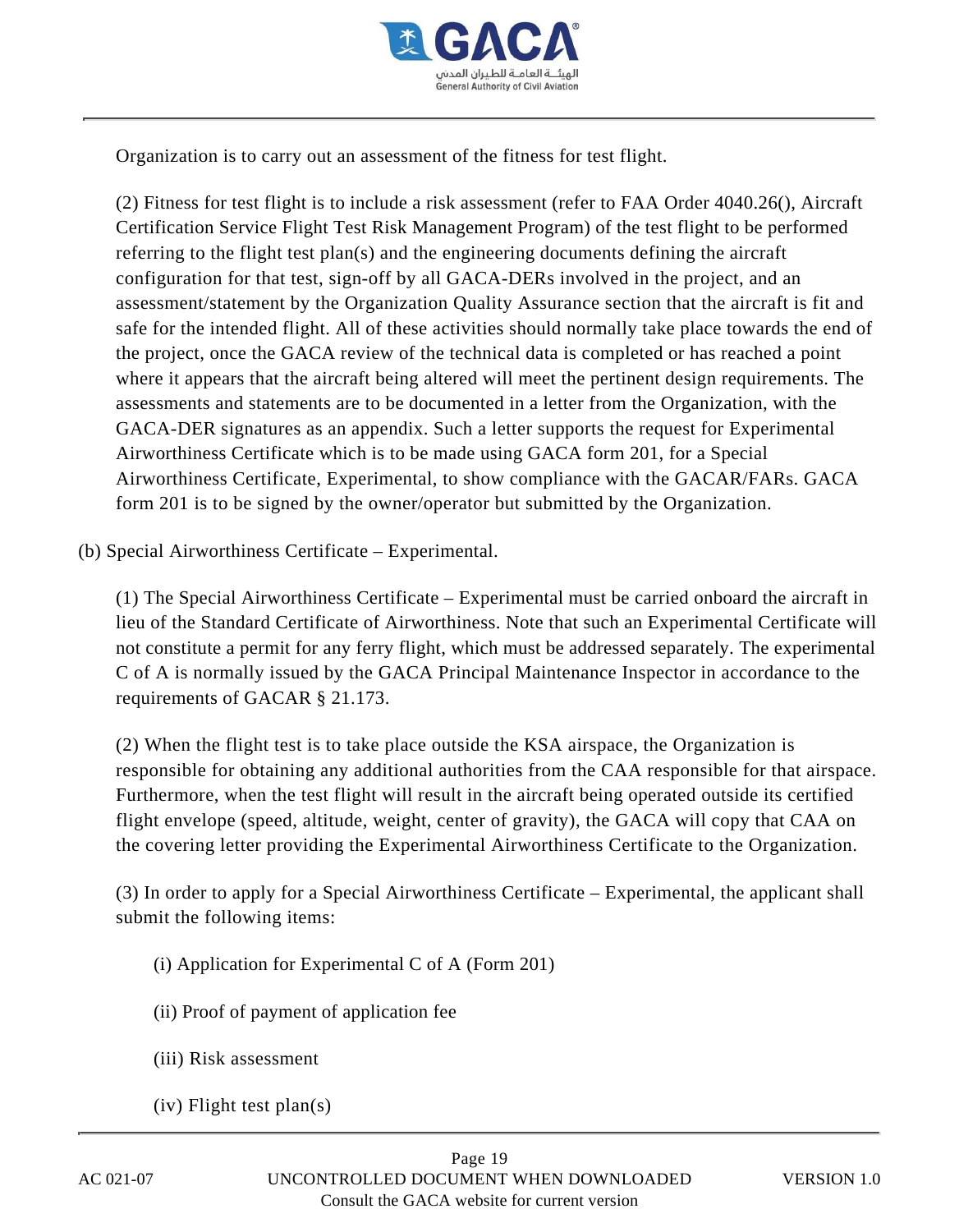

Organization is to carry out an assessment of the fitness for test flight.

(2) Fitness for test flight is to include a risk assessment (refer to FAA Order 4040.26(), Aircraft Certification Service Flight Test Risk Management Program) of the test flight to be performed referring to the flight test plan(s) and the engineering documents defining the aircraft configuration for that test, sign-off by all GACA-DERs involved in the project, and an assessment/statement by the Organization Quality Assurance section that the aircraft is fit and safe for the intended flight. All of these activities should normally take place towards the end of the project, once the GACA review of the technical data is completed or has reached a point where it appears that the aircraft being altered will meet the pertinent design requirements. The assessments and statements are to be documented in a letter from the Organization, with the GACA-DER signatures as an appendix. Such a letter supports the request for Experimental Airworthiness Certificate which is to be made using GACA form 201, for a Special Airworthiness Certificate, Experimental, to show compliance with the GACAR/FARs. GACA form 201 is to be signed by the owner/operator but submitted by the Organization.

(b) Special Airworthiness Certificate – Experimental.

(1) The Special Airworthiness Certificate – Experimental must be carried onboard the aircraft in lieu of the Standard Certificate of Airworthiness. Note that such an Experimental Certificate will not constitute a permit for any ferry flight, which must be addressed separately. The experimental C of A is normally issued by the GACA Principal Maintenance Inspector in accordance to the requirements of GACAR § 21.173.

(2) When the flight test is to take place outside the KSA airspace, the Organization is responsible for obtaining any additional authorities from the CAA responsible for that airspace. Furthermore, when the test flight will result in the aircraft being operated outside its certified flight envelope (speed, altitude, weight, center of gravity), the GACA will copy that CAA on the covering letter providing the Experimental Airworthiness Certificate to the Organization.

(3) In order to apply for a Special Airworthiness Certificate – Experimental, the applicant shall submit the following items:

- (i) Application for Experimental C of A (Form 201)
- (ii) Proof of payment of application fee
- (iii) Risk assessment
- (iv) Flight test plan(s)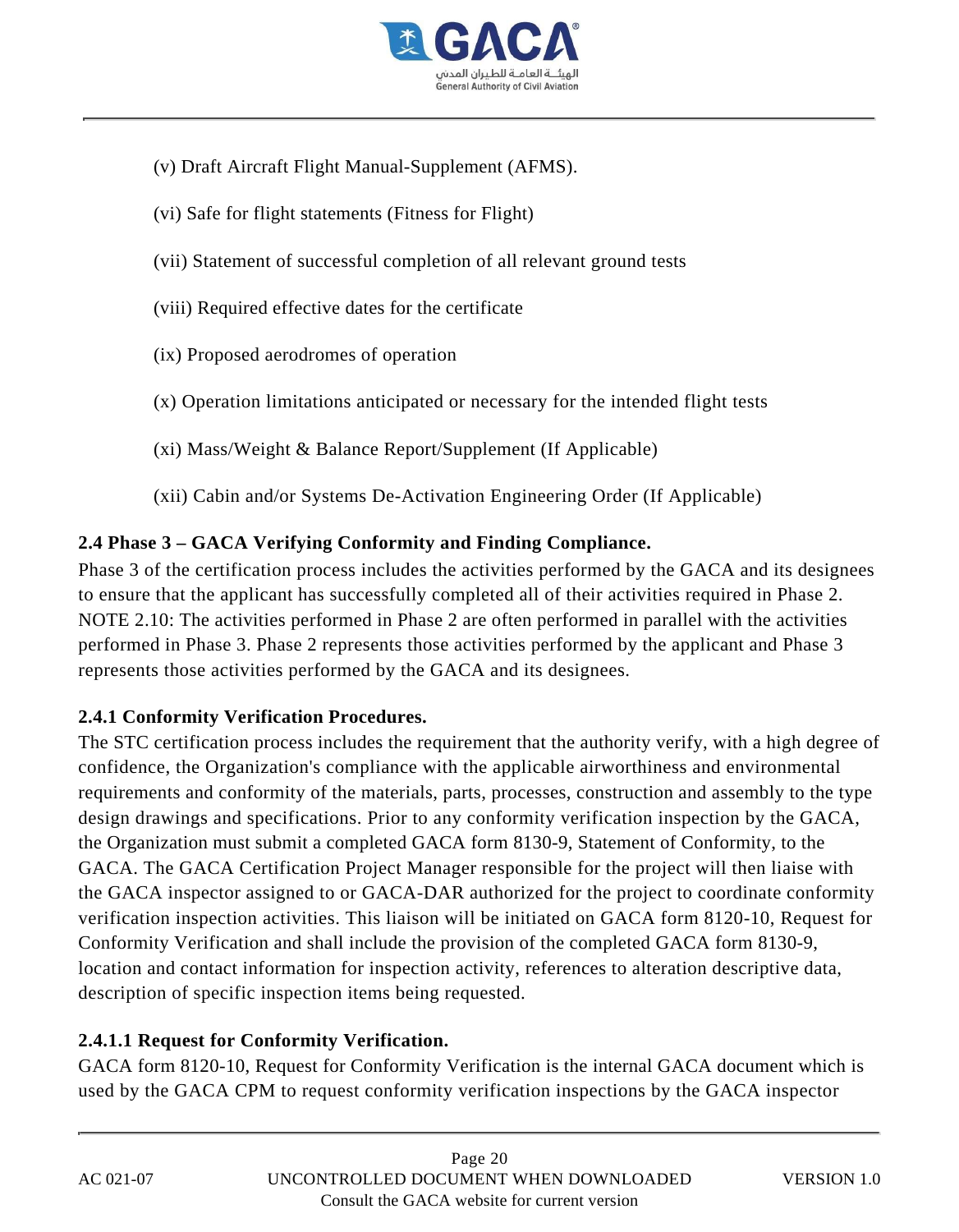

- (v) Draft Aircraft Flight Manual-Supplement (AFMS).
- (vi) Safe for flight statements (Fitness for Flight)
- (vii) Statement of successful completion of all relevant ground tests
- (viii) Required effective dates for the certificate
- (ix) Proposed aerodromes of operation
- (x) Operation limitations anticipated or necessary for the intended flight tests
- (xi) Mass/Weight & Balance Report/Supplement (If Applicable)
- (xii) Cabin and/or Systems De-Activation Engineering Order (If Applicable)

## **2.4 Phase 3 – GACA Verifying Conformity and Finding Compliance.**

Phase 3 of the certification process includes the activities performed by the GACA and its designees to ensure that the applicant has successfully completed all of their activities required in Phase 2. NOTE 2.10: The activities performed in Phase 2 are often performed in parallel with the activities performed in Phase 3. Phase 2 represents those activities performed by the applicant and Phase 3 represents those activities performed by the GACA and its designees.

#### **2.4.1 Conformity Verification Procedures.**

The STC certification process includes the requirement that the authority verify, with a high degree of confidence, the Organization's compliance with the applicable airworthiness and environmental requirements and conformity of the materials, parts, processes, construction and assembly to the type design drawings and specifications. Prior to any conformity verification inspection by the GACA, the Organization must submit a completed GACA form 8130-9, Statement of Conformity, to the GACA. The GACA Certification Project Manager responsible for the project will then liaise with the GACA inspector assigned to or GACA-DAR authorized for the project to coordinate conformity verification inspection activities. This liaison will be initiated on GACA form 8120-10, Request for Conformity Verification and shall include the provision of the completed GACA form 8130-9, location and contact information for inspection activity, references to alteration descriptive data, description of specific inspection items being requested.

## **2.4.1.1 Request for Conformity Verification.**

GACA form 8120-10, Request for Conformity Verification is the internal GACA document which is used by the GACA CPM to request conformity verification inspections by the GACA inspector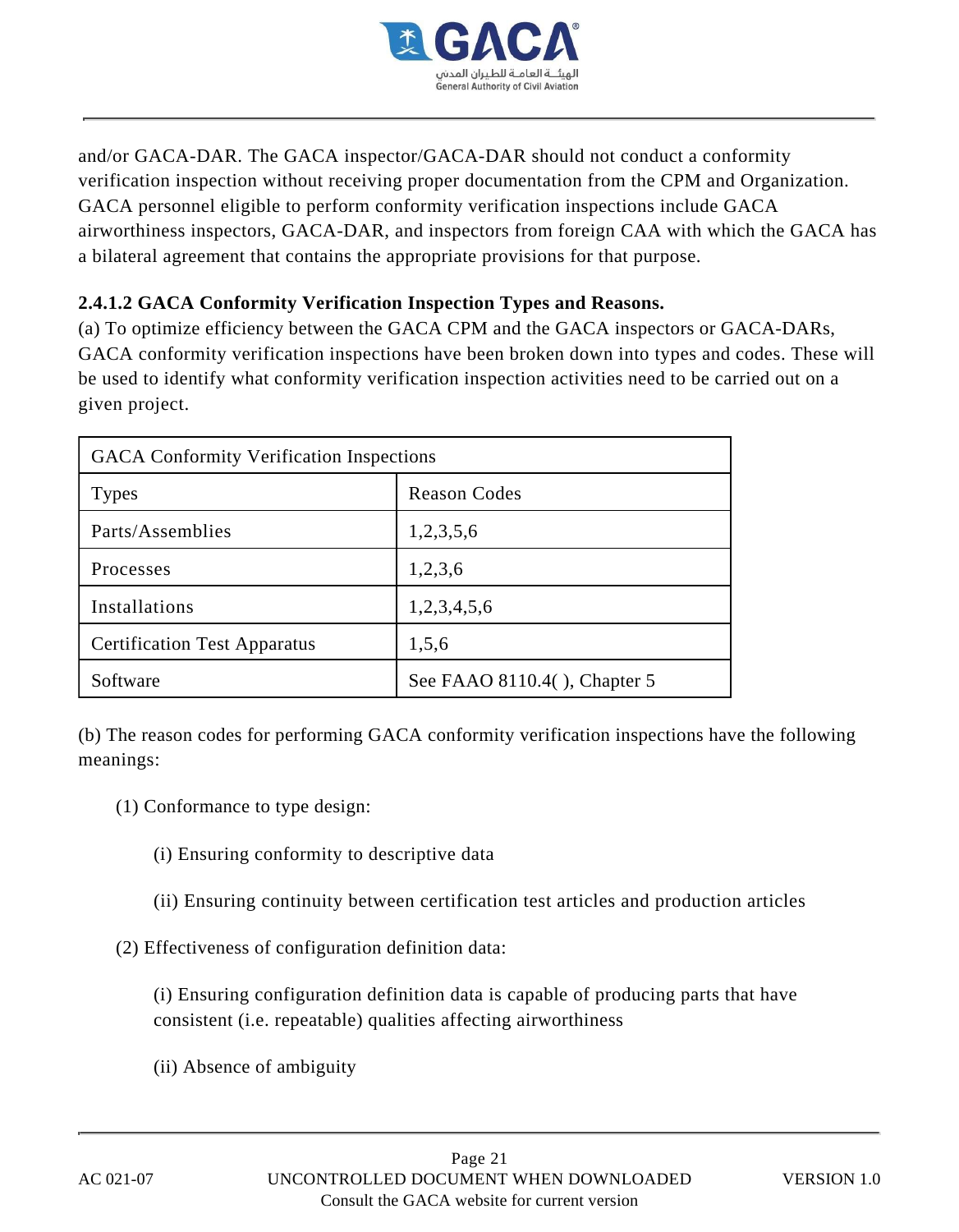

and/or GACA-DAR. The GACA inspector/GACA-DAR should not conduct a conformity verification inspection without receiving proper documentation from the CPM and Organization. GACA personnel eligible to perform conformity verification inspections include GACA airworthiness inspectors, GACA-DAR, and inspectors from foreign CAA with which the GACA has a bilateral agreement that contains the appropriate provisions for that purpose.

## **2.4.1.2 GACA Conformity Verification Inspection Types and Reasons.**

(a) To optimize efficiency between the GACA CPM and the GACA inspectors or GACA-DARs, GACA conformity verification inspections have been broken down into types and codes. These will be used to identify what conformity verification inspection activities need to be carried out on a given project.

| <b>GACA Conformity Verification Inspections</b> |                              |  |
|-------------------------------------------------|------------------------------|--|
| <b>Types</b>                                    | <b>Reason Codes</b>          |  |
| Parts/Assemblies                                | 1,2,3,5,6                    |  |
| Processes                                       | 1,2,3,6                      |  |
| Installations                                   | 1,2,3,4,5,6                  |  |
| <b>Certification Test Apparatus</b>             | 1,5,6                        |  |
| Software                                        | See FAAO 8110.4(), Chapter 5 |  |

(b) The reason codes for performing GACA conformity verification inspections have the following meanings:

- (1) Conformance to type design:
	- (i) Ensuring conformity to descriptive data
	- (ii) Ensuring continuity between certification test articles and production articles

(2) Effectiveness of configuration definition data:

(i) Ensuring configuration definition data is capable of producing parts that have consistent (i.e. repeatable) qualities affecting airworthiness

(ii) Absence of ambiguity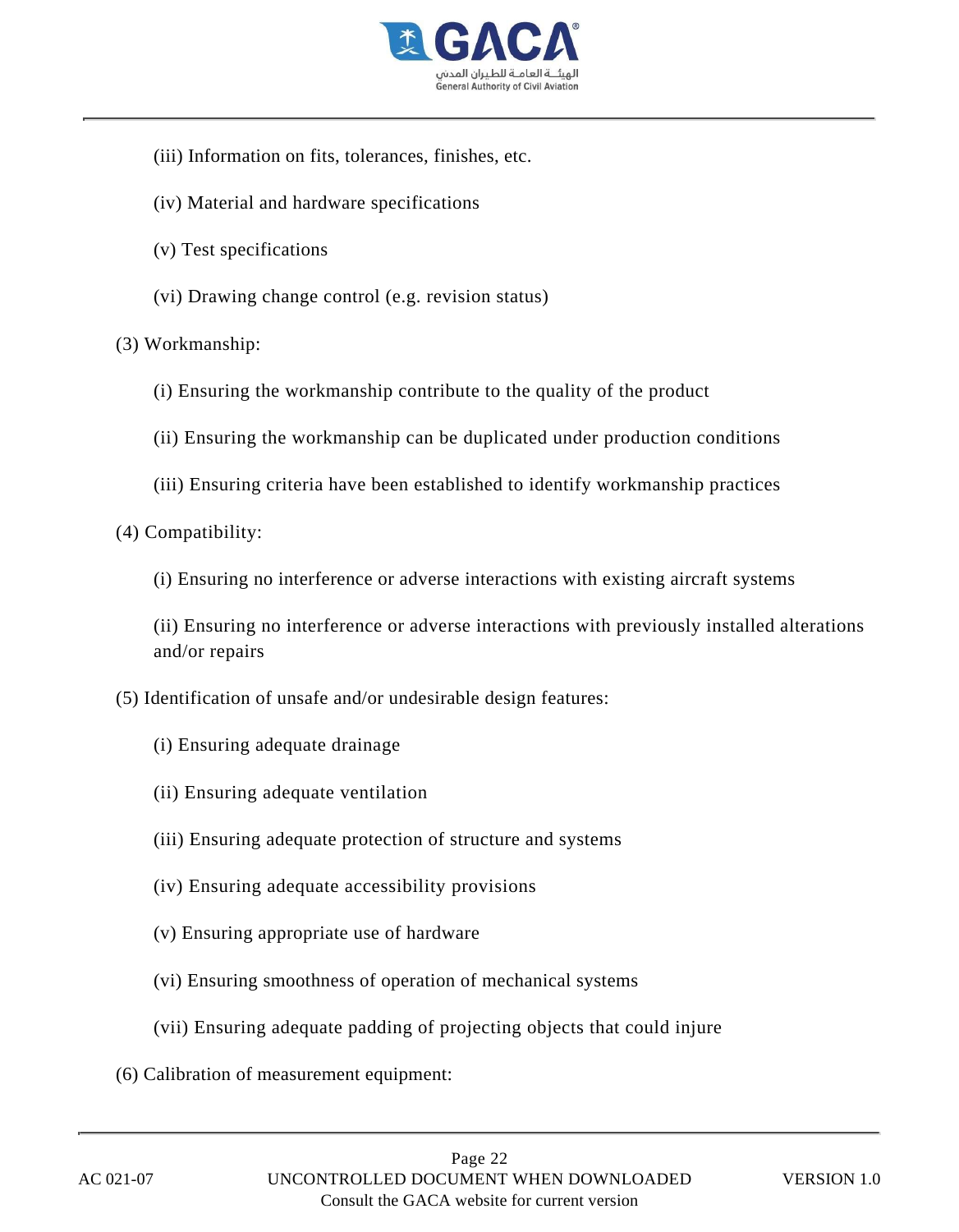

- (iii) Information on fits, tolerances, finishes, etc.
- (iv) Material and hardware specifications
- (v) Test specifications
- (vi) Drawing change control (e.g. revision status)

#### (3) Workmanship:

- (i) Ensuring the workmanship contribute to the quality of the product
- (ii) Ensuring the workmanship can be duplicated under production conditions
- (iii) Ensuring criteria have been established to identify workmanship practices
- (4) Compatibility:
	- (i) Ensuring no interference or adverse interactions with existing aircraft systems

(ii) Ensuring no interference or adverse interactions with previously installed alterations and/or repairs

- (5) Identification of unsafe and/or undesirable design features:
	- (i) Ensuring adequate drainage
	- (ii) Ensuring adequate ventilation
	- (iii) Ensuring adequate protection of structure and systems
	- (iv) Ensuring adequate accessibility provisions
	- (v) Ensuring appropriate use of hardware
	- (vi) Ensuring smoothness of operation of mechanical systems
	- (vii) Ensuring adequate padding of projecting objects that could injure
- (6) Calibration of measurement equipment: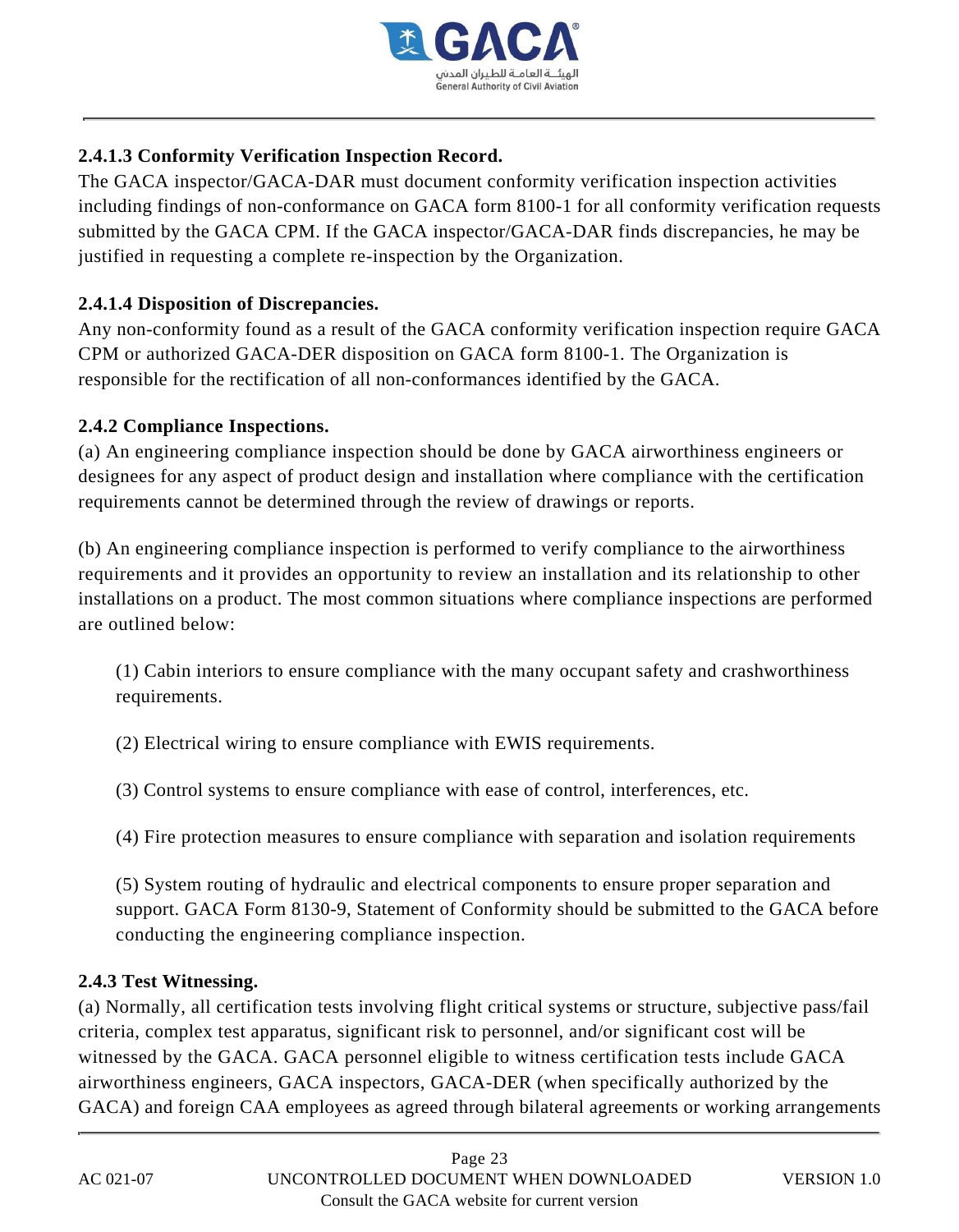

## **2.4.1.3 Conformity Verification Inspection Record.**

The GACA inspector/GACA-DAR must document conformity verification inspection activities including findings of non-conformance on GACA form 8100-1 for all conformity verification requests submitted by the GACA CPM. If the GACA inspector/GACA-DAR finds discrepancies, he may be justified in requesting a complete re-inspection by the Organization.

## **2.4.1.4 Disposition of Discrepancies.**

Any non-conformity found as a result of the GACA conformity verification inspection require GACA CPM or authorized GACA-DER disposition on GACA form 8100-1. The Organization is responsible for the rectification of all non-conformances identified by the GACA.

#### **2.4.2 Compliance Inspections.**

(a) An engineering compliance inspection should be done by GACA airworthiness engineers or designees for any aspect of product design and installation where compliance with the certification requirements cannot be determined through the review of drawings or reports.

(b) An engineering compliance inspection is performed to verify compliance to the airworthiness requirements and it provides an opportunity to review an installation and its relationship to other installations on a product. The most common situations where compliance inspections are performed are outlined below:

(1) Cabin interiors to ensure compliance with the many occupant safety and crashworthiness requirements.

(2) Electrical wiring to ensure compliance with EWIS requirements.

(3) Control systems to ensure compliance with ease of control, interferences, etc.

(4) Fire protection measures to ensure compliance with separation and isolation requirements

(5) System routing of hydraulic and electrical components to ensure proper separation and support. GACA Form 8130-9, Statement of Conformity should be submitted to the GACA before conducting the engineering compliance inspection.

#### **2.4.3 Test Witnessing.**

(a) Normally, all certification tests involving flight critical systems or structure, subjective pass/fail criteria, complex test apparatus, significant risk to personnel, and/or significant cost will be witnessed by the GACA. GACA personnel eligible to witness certification tests include GACA airworthiness engineers, GACA inspectors, GACA-DER (when specifically authorized by the GACA) and foreign CAA employees as agreed through bilateral agreements or working arrangements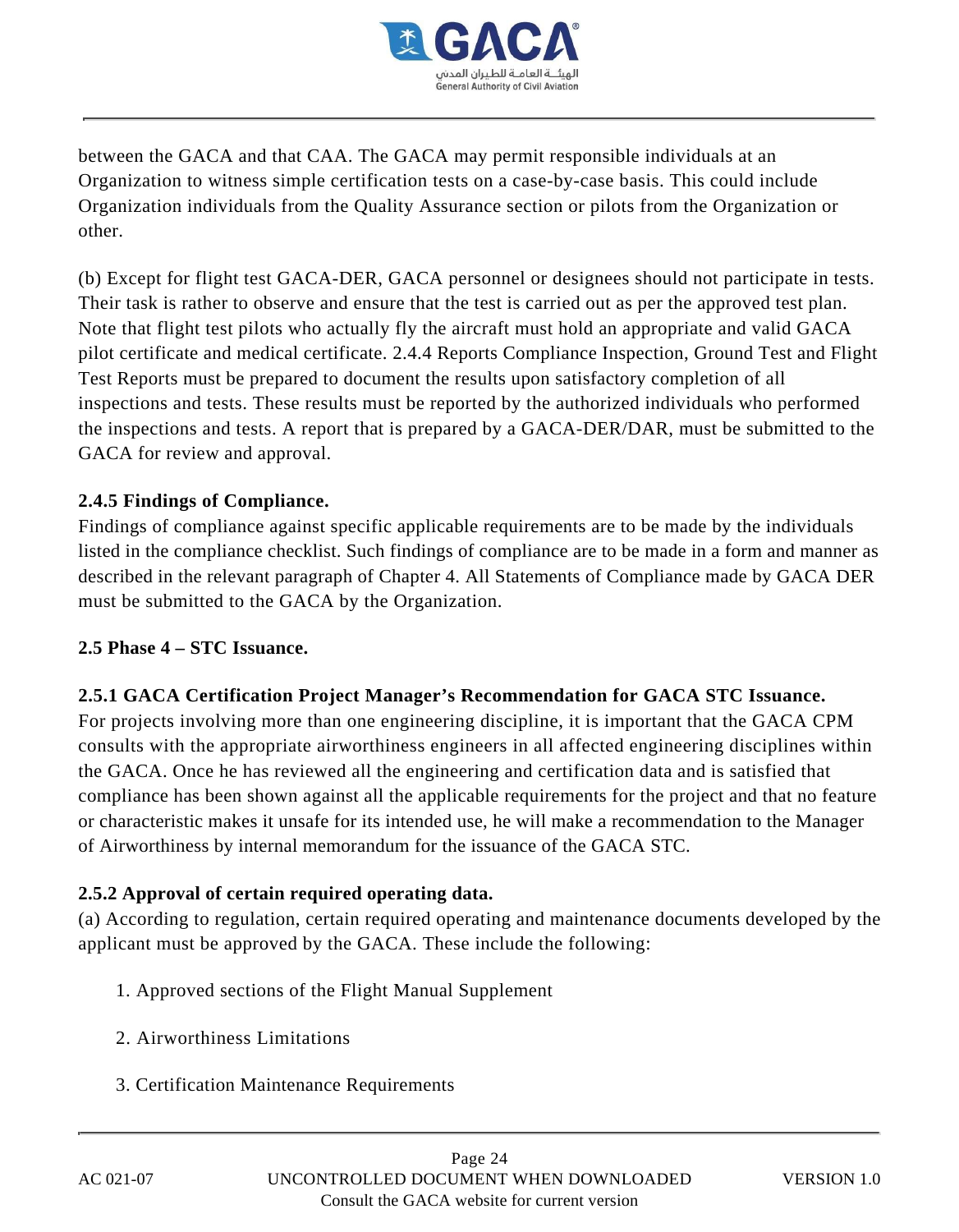

between the GACA and that CAA. The GACA may permit responsible individuals at an Organization to witness simple certification tests on a case-by-case basis. This could include Organization individuals from the Quality Assurance section or pilots from the Organization or other.

(b) Except for flight test GACA-DER, GACA personnel or designees should not participate in tests. Their task is rather to observe and ensure that the test is carried out as per the approved test plan. Note that flight test pilots who actually fly the aircraft must hold an appropriate and valid GACA pilot certificate and medical certificate. 2.4.4 Reports Compliance Inspection, Ground Test and Flight Test Reports must be prepared to document the results upon satisfactory completion of all inspections and tests. These results must be reported by the authorized individuals who performed the inspections and tests. A report that is prepared by a GACA-DER/DAR, must be submitted to the GACA for review and approval.

## **2.4.5 Findings of Compliance.**

Findings of compliance against specific applicable requirements are to be made by the individuals listed in the compliance checklist. Such findings of compliance are to be made in a form and manner as described in the relevant paragraph of Chapter 4. All Statements of Compliance made by GACA DER must be submitted to the GACA by the Organization.

#### **2.5 Phase 4 – STC Issuance.**

## **2.5.1 GACA Certification Project Manager's Recommendation for GACA STC Issuance.**

For projects involving more than one engineering discipline, it is important that the GACA CPM consults with the appropriate airworthiness engineers in all affected engineering disciplines within the GACA. Once he has reviewed all the engineering and certification data and is satisfied that compliance has been shown against all the applicable requirements for the project and that no feature or characteristic makes it unsafe for its intended use, he will make a recommendation to the Manager of Airworthiness by internal memorandum for the issuance of the GACA STC.

#### **2.5.2 Approval of certain required operating data.**

(a) According to regulation, certain required operating and maintenance documents developed by the applicant must be approved by the GACA. These include the following:

- 1. Approved sections of the Flight Manual Supplement
- 2. Airworthiness Limitations
- 3. Certification Maintenance Requirements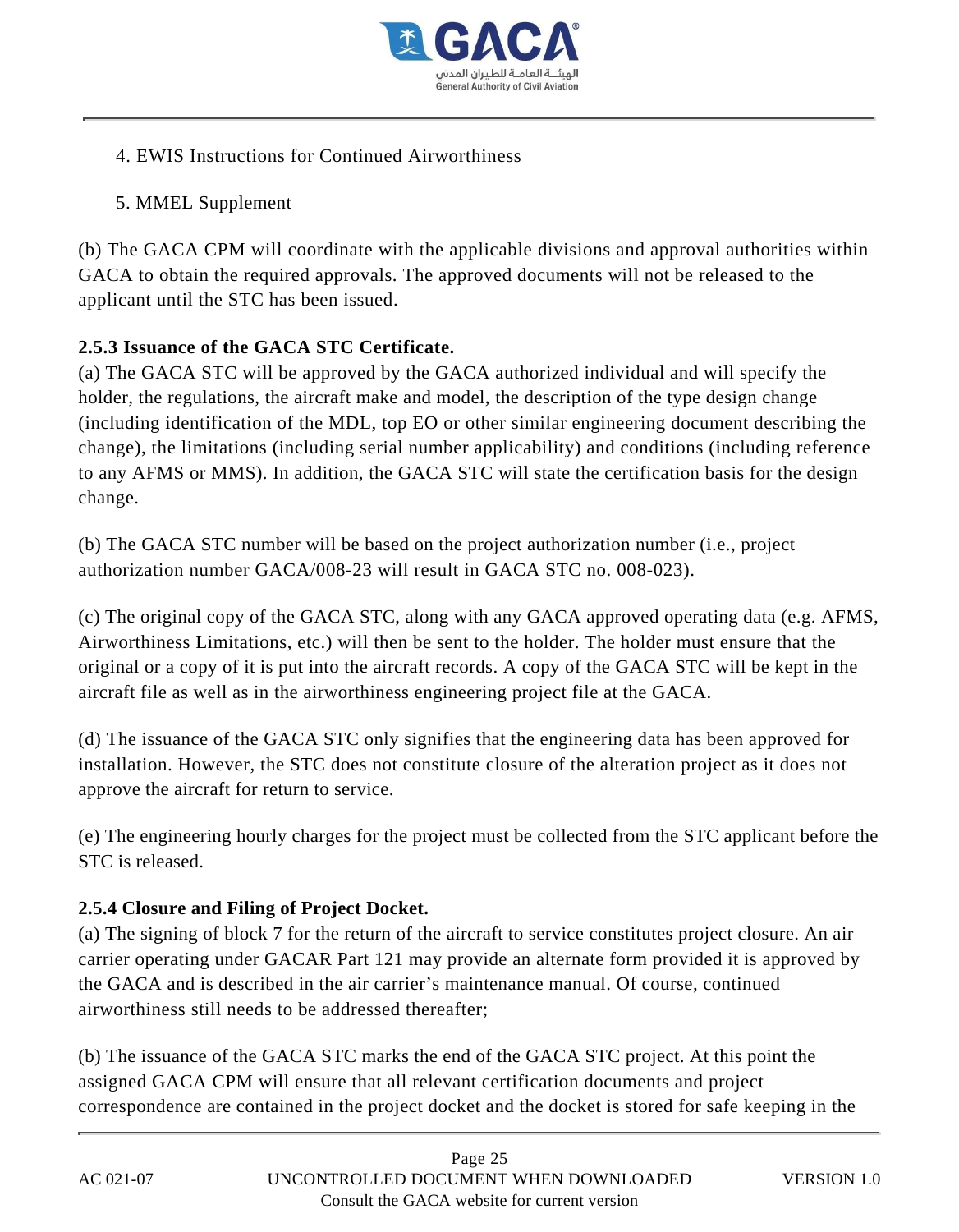

- 4. EWIS Instructions for Continued Airworthiness
- 5. MMEL Supplement

(b) The GACA CPM will coordinate with the applicable divisions and approval authorities within GACA to obtain the required approvals. The approved documents will not be released to the applicant until the STC has been issued.

## **2.5.3 Issuance of the GACA STC Certificate.**

(a) The GACA STC will be approved by the GACA authorized individual and will specify the holder, the regulations, the aircraft make and model, the description of the type design change (including identification of the MDL, top EO or other similar engineering document describing the change), the limitations (including serial number applicability) and conditions (including reference to any AFMS or MMS). In addition, the GACA STC will state the certification basis for the design change.

(b) The GACA STC number will be based on the project authorization number (i.e., project authorization number GACA/008-23 will result in GACA STC no. 008-023).

(c) The original copy of the GACA STC, along with any GACA approved operating data (e.g. AFMS, Airworthiness Limitations, etc.) will then be sent to the holder. The holder must ensure that the original or a copy of it is put into the aircraft records. A copy of the GACA STC will be kept in the aircraft file as well as in the airworthiness engineering project file at the GACA.

(d) The issuance of the GACA STC only signifies that the engineering data has been approved for installation. However, the STC does not constitute closure of the alteration project as it does not approve the aircraft for return to service.

(e) The engineering hourly charges for the project must be collected from the STC applicant before the STC is released.

## **2.5.4 Closure and Filing of Project Docket.**

(a) The signing of block 7 for the return of the aircraft to service constitutes project closure. An air carrier operating under GACAR Part 121 may provide an alternate form provided it is approved by the GACA and is described in the air carrier's maintenance manual. Of course, continued airworthiness still needs to be addressed thereafter;

(b) The issuance of the GACA STC marks the end of the GACA STC project. At this point the assigned GACA CPM will ensure that all relevant certification documents and project correspondence are contained in the project docket and the docket is stored for safe keeping in the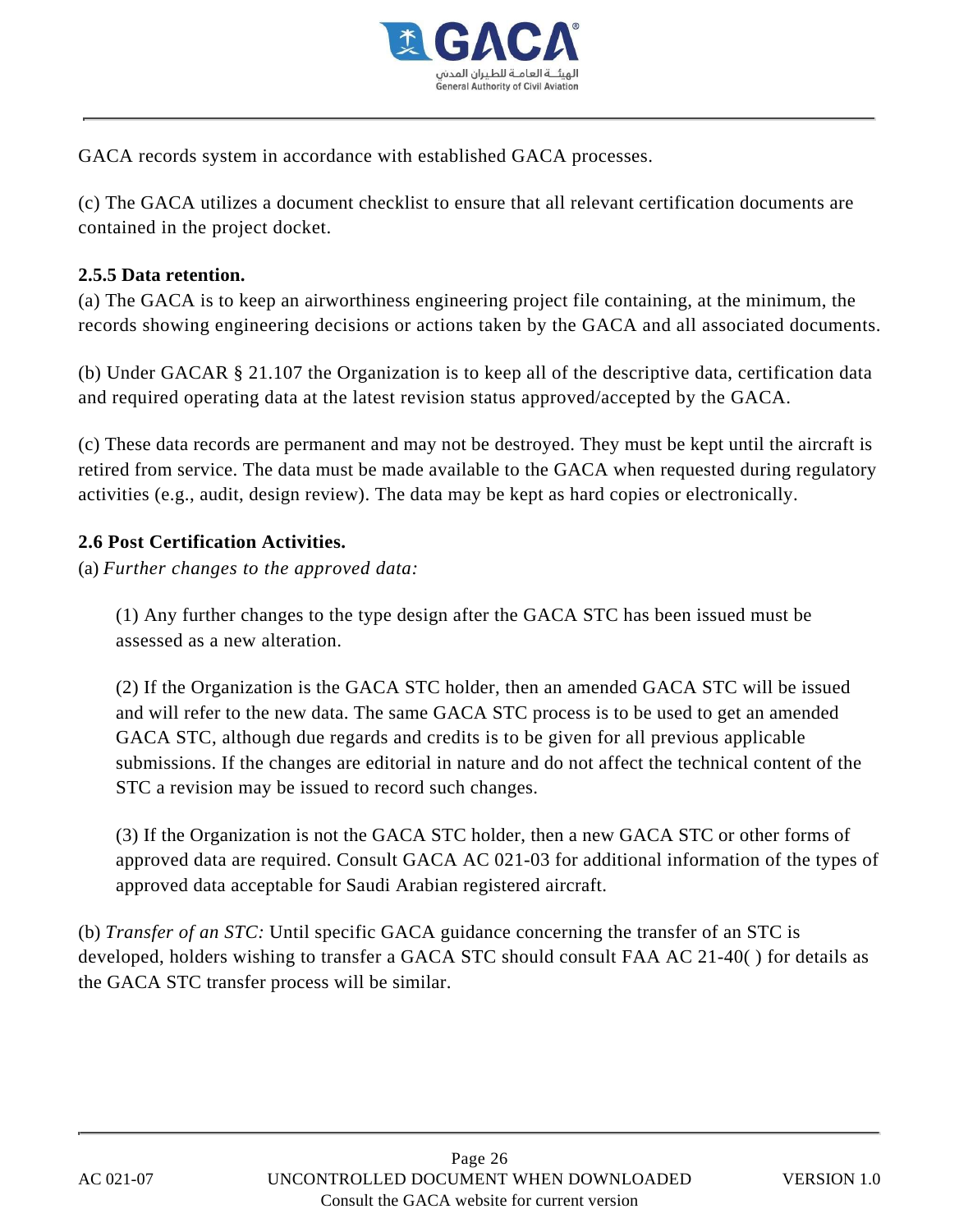

GACA records system in accordance with established GACA processes.

(c) The GACA utilizes a document checklist to ensure that all relevant certification documents are contained in the project docket.

#### **2.5.5 Data retention.**

(a) The GACA is to keep an airworthiness engineering project file containing, at the minimum, the records showing engineering decisions or actions taken by the GACA and all associated documents.

(b) Under GACAR § 21.107 the Organization is to keep all of the descriptive data, certification data and required operating data at the latest revision status approved/accepted by the GACA.

(c) These data records are permanent and may not be destroyed. They must be kept until the aircraft is retired from service. The data must be made available to the GACA when requested during regulatory activities (e.g., audit, design review). The data may be kept as hard copies or electronically.

#### **2.6 Post Certification Activities.**

(a) *Further changes to the approved data:*

(1) Any further changes to the type design after the GACA STC has been issued must be assessed as a new alteration.

(2) If the Organization is the GACA STC holder, then an amended GACA STC will be issued and will refer to the new data. The same GACA STC process is to be used to get an amended GACA STC, although due regards and credits is to be given for all previous applicable submissions. If the changes are editorial in nature and do not affect the technical content of the STC a revision may be issued to record such changes.

(3) If the Organization is not the GACA STC holder, then a new GACA STC or other forms of approved data are required. Consult GACA AC 021-03 for additional information of the types of approved data acceptable for Saudi Arabian registered aircraft.

(b) *Transfer of an STC:* Until specific GACA guidance concerning the transfer of an STC is developed, holders wishing to transfer a GACA STC should consult FAA AC 21-40( ) for details as the GACA STC transfer process will be similar.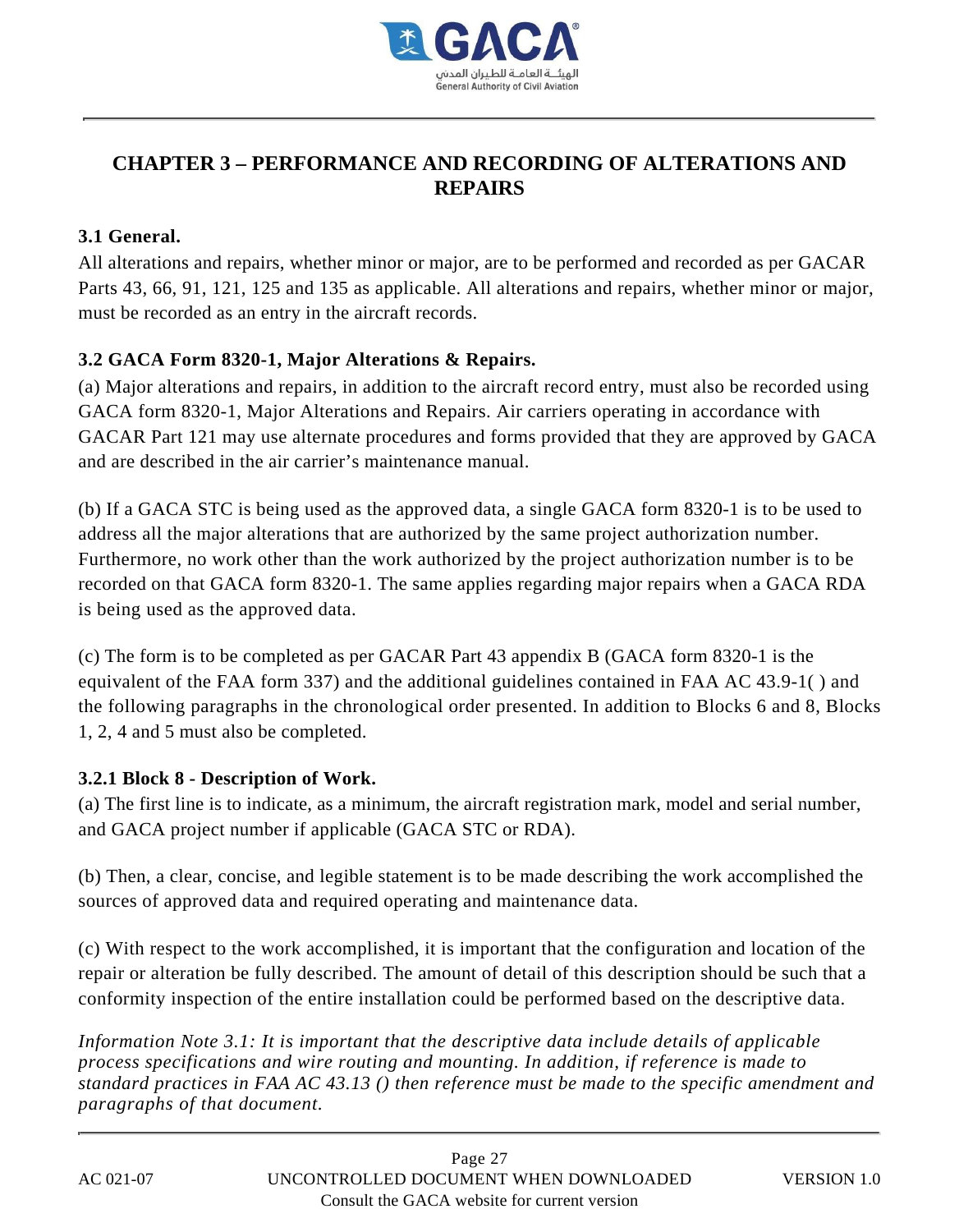

# **CHAPTER 3 – PERFORMANCE AND RECORDING OF ALTERATIONS AND REPAIRS**

#### **3.1 General.**

All alterations and repairs, whether minor or major, are to be performed and recorded as per GACAR Parts 43, 66, 91, 121, 125 and 135 as applicable. All alterations and repairs, whether minor or major, must be recorded as an entry in the aircraft records.

## **3.2 GACA Form 8320-1, Major Alterations & Repairs.**

(a) Major alterations and repairs, in addition to the aircraft record entry, must also be recorded using GACA form 8320-1, Major Alterations and Repairs. Air carriers operating in accordance with GACAR Part 121 may use alternate procedures and forms provided that they are approved by GACA and are described in the air carrier's maintenance manual.

(b) If a GACA STC is being used as the approved data, a single GACA form 8320-1 is to be used to address all the major alterations that are authorized by the same project authorization number. Furthermore, no work other than the work authorized by the project authorization number is to be recorded on that GACA form 8320-1. The same applies regarding major repairs when a GACA RDA is being used as the approved data.

(c) The form is to be completed as per GACAR Part 43 appendix B (GACA form 8320-1 is the equivalent of the FAA form 337) and the additional guidelines contained in FAA AC 43.9-1( ) and the following paragraphs in the chronological order presented. In addition to Blocks 6 and 8, Blocks 1, 2, 4 and 5 must also be completed.

#### **3.2.1 Block 8 - Description of Work.**

(a) The first line is to indicate, as a minimum, the aircraft registration mark, model and serial number, and GACA project number if applicable (GACA STC or RDA).

(b) Then, a clear, concise, and legible statement is to be made describing the work accomplished the sources of approved data and required operating and maintenance data.

(c) With respect to the work accomplished, it is important that the configuration and location of the repair or alteration be fully described. The amount of detail of this description should be such that a conformity inspection of the entire installation could be performed based on the descriptive data.

*Information Note 3.1: It is important that the descriptive data include details of applicable process specifications and wire routing and mounting. In addition, if reference is made to standard practices in FAA AC 43.13 () then reference must be made to the specific amendment and paragraphs of that document.*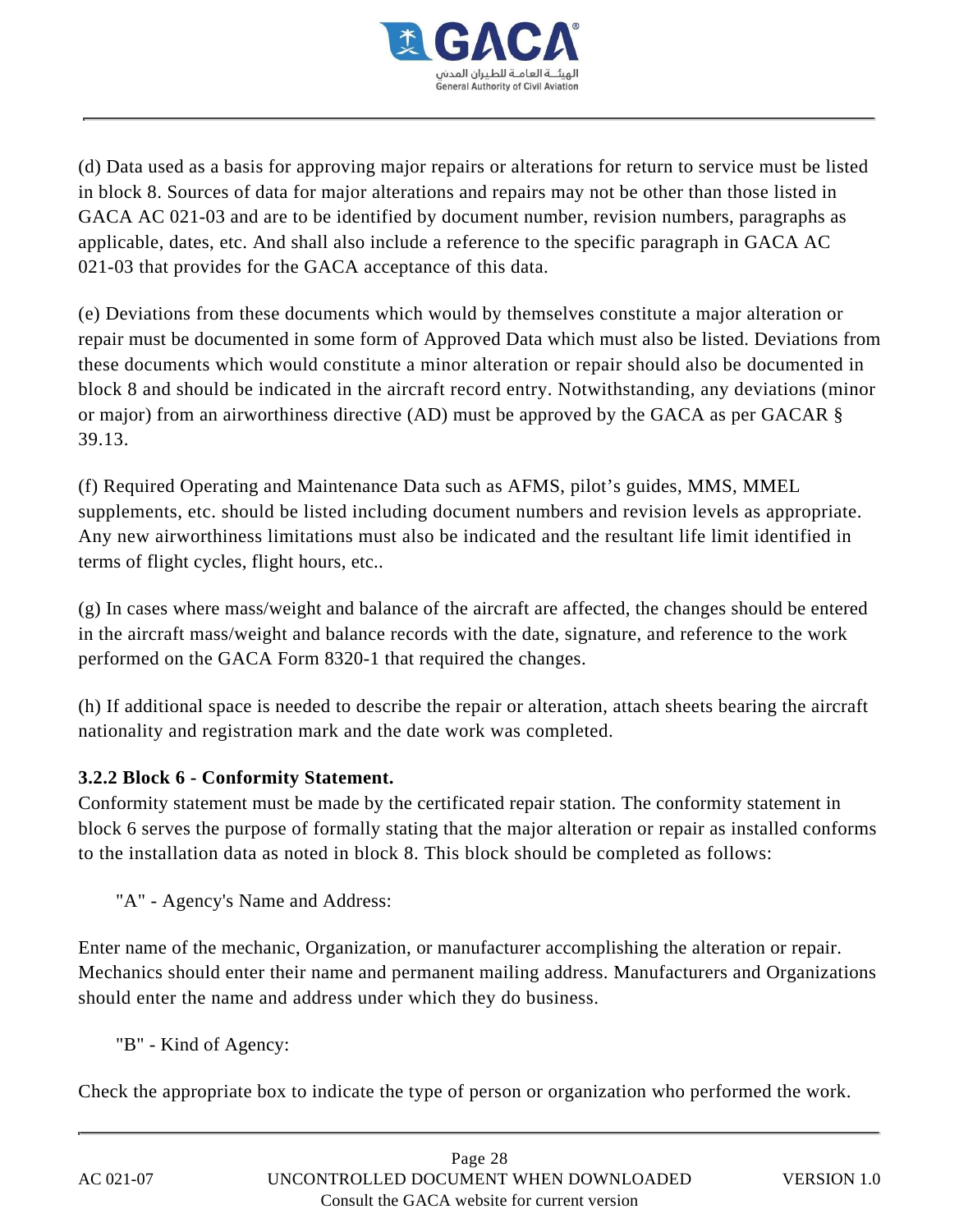

(d) Data used as a basis for approving major repairs or alterations for return to service must be listed in block 8. Sources of data for major alterations and repairs may not be other than those listed in GACA AC 021-03 and are to be identified by document number, revision numbers, paragraphs as applicable, dates, etc. And shall also include a reference to the specific paragraph in GACA AC 021-03 that provides for the GACA acceptance of this data.

(e) Deviations from these documents which would by themselves constitute a major alteration or repair must be documented in some form of Approved Data which must also be listed. Deviations from these documents which would constitute a minor alteration or repair should also be documented in block 8 and should be indicated in the aircraft record entry. Notwithstanding, any deviations (minor or major) from an airworthiness directive (AD) must be approved by the GACA as per GACAR § 39.13.

(f) Required Operating and Maintenance Data such as AFMS, pilot's guides, MMS, MMEL supplements, etc. should be listed including document numbers and revision levels as appropriate. Any new airworthiness limitations must also be indicated and the resultant life limit identified in terms of flight cycles, flight hours, etc..

(g) In cases where mass/weight and balance of the aircraft are affected, the changes should be entered in the aircraft mass/weight and balance records with the date, signature, and reference to the work performed on the GACA Form 8320-1 that required the changes.

(h) If additional space is needed to describe the repair or alteration, attach sheets bearing the aircraft nationality and registration mark and the date work was completed.

## **3.2.2 Block 6 - Conformity Statement.**

Conformity statement must be made by the certificated repair station. The conformity statement in block 6 serves the purpose of formally stating that the major alteration or repair as installed conforms to the installation data as noted in block 8. This block should be completed as follows:

"A" - Agency's Name and Address:

Enter name of the mechanic, Organization, or manufacturer accomplishing the alteration or repair. Mechanics should enter their name and permanent mailing address. Manufacturers and Organizations should enter the name and address under which they do business.

"B" - Kind of Agency:

Check the appropriate box to indicate the type of person or organization who performed the work.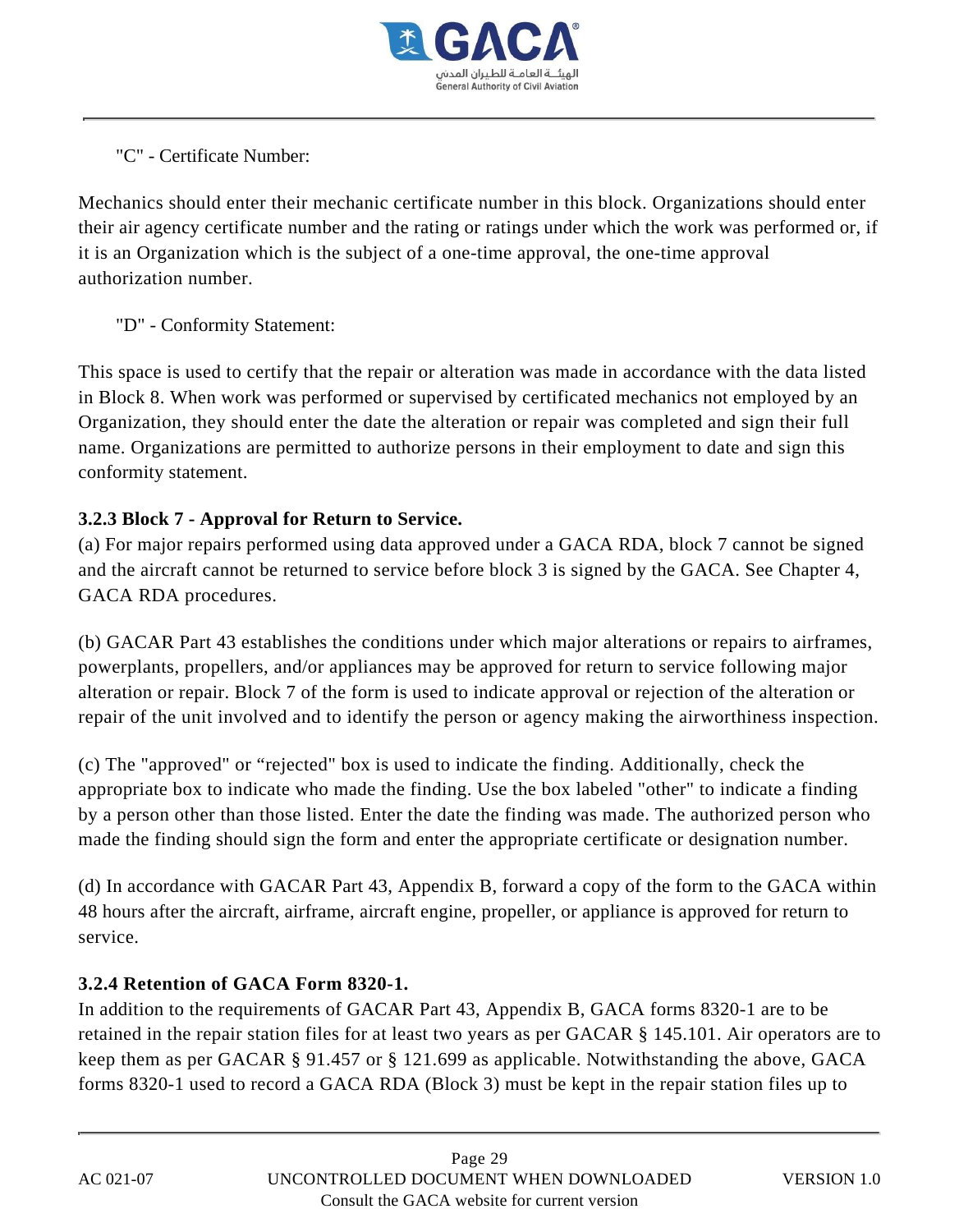

"C" - Certificate Number:

Mechanics should enter their mechanic certificate number in this block. Organizations should enter their air agency certificate number and the rating or ratings under which the work was performed or, if it is an Organization which is the subject of a one-time approval, the one-time approval authorization number.

"D" - Conformity Statement:

This space is used to certify that the repair or alteration was made in accordance with the data listed in Block 8. When work was performed or supervised by certificated mechanics not employed by an Organization, they should enter the date the alteration or repair was completed and sign their full name. Organizations are permitted to authorize persons in their employment to date and sign this conformity statement.

## **3.2.3 Block 7 - Approval for Return to Service.**

(a) For major repairs performed using data approved under a GACA RDA, block 7 cannot be signed and the aircraft cannot be returned to service before block 3 is signed by the GACA. See Chapter 4, GACA RDA procedures.

(b) GACAR Part 43 establishes the conditions under which major alterations or repairs to airframes, powerplants, propellers, and/or appliances may be approved for return to service following major alteration or repair. Block 7 of the form is used to indicate approval or rejection of the alteration or repair of the unit involved and to identify the person or agency making the airworthiness inspection.

(c) The "approved" or "rejected" box is used to indicate the finding. Additionally, check the appropriate box to indicate who made the finding. Use the box labeled "other" to indicate a finding by a person other than those listed. Enter the date the finding was made. The authorized person who made the finding should sign the form and enter the appropriate certificate or designation number.

(d) In accordance with GACAR Part 43, Appendix B, forward a copy of the form to the GACA within 48 hours after the aircraft, airframe, aircraft engine, propeller, or appliance is approved for return to service.

## **3.2.4 Retention of GACA Form 8320-1.**

In addition to the requirements of GACAR Part 43, Appendix B, GACA forms 8320-1 are to be retained in the repair station files for at least two years as per GACAR § 145.101. Air operators are to keep them as per GACAR § 91.457 or § 121.699 as applicable. Notwithstanding the above, GACA forms 8320-1 used to record a GACA RDA (Block 3) must be kept in the repair station files up to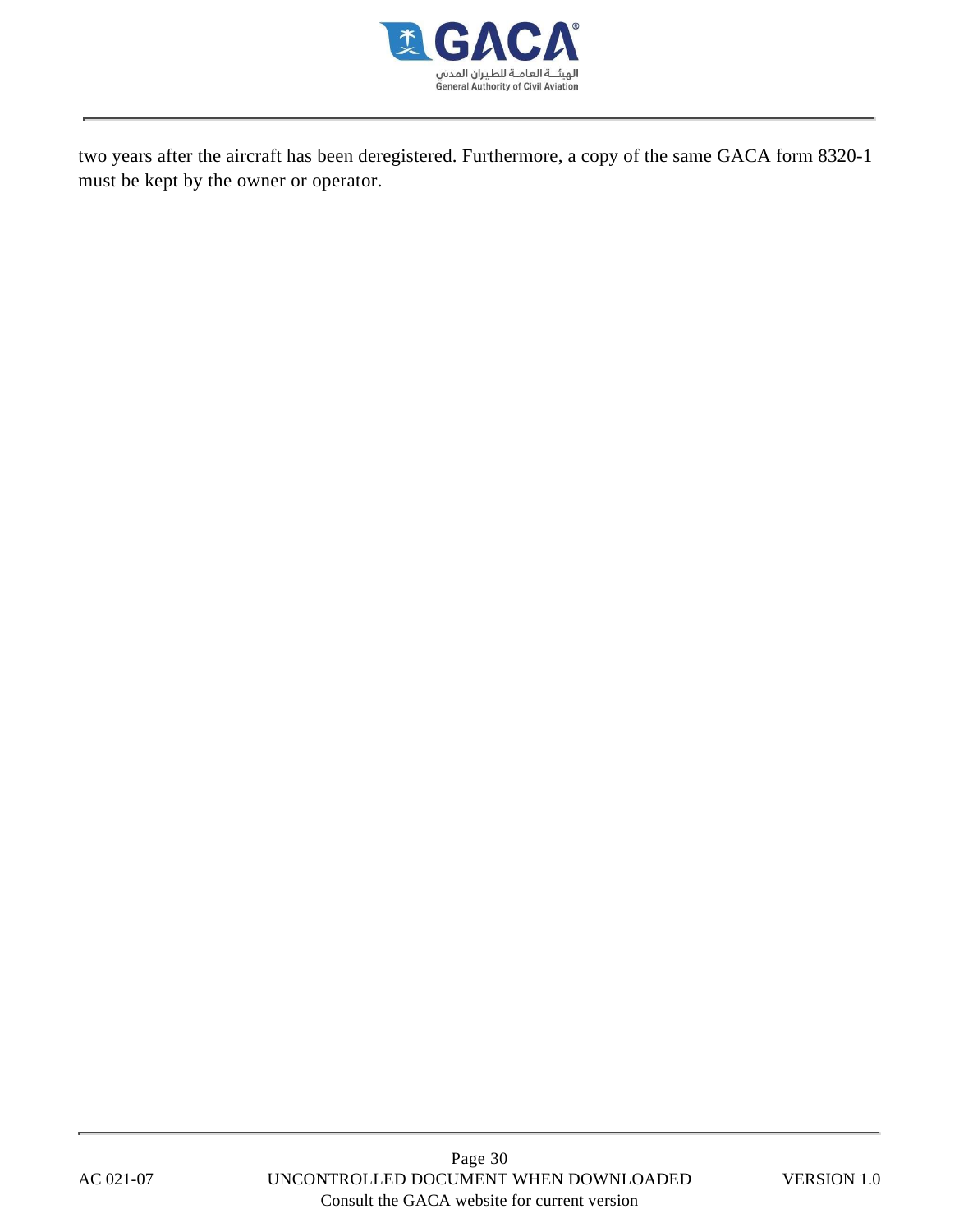

two years after the aircraft has been deregistered. Furthermore, a copy of the same GACA form 8320-1 must be kept by the owner or operator.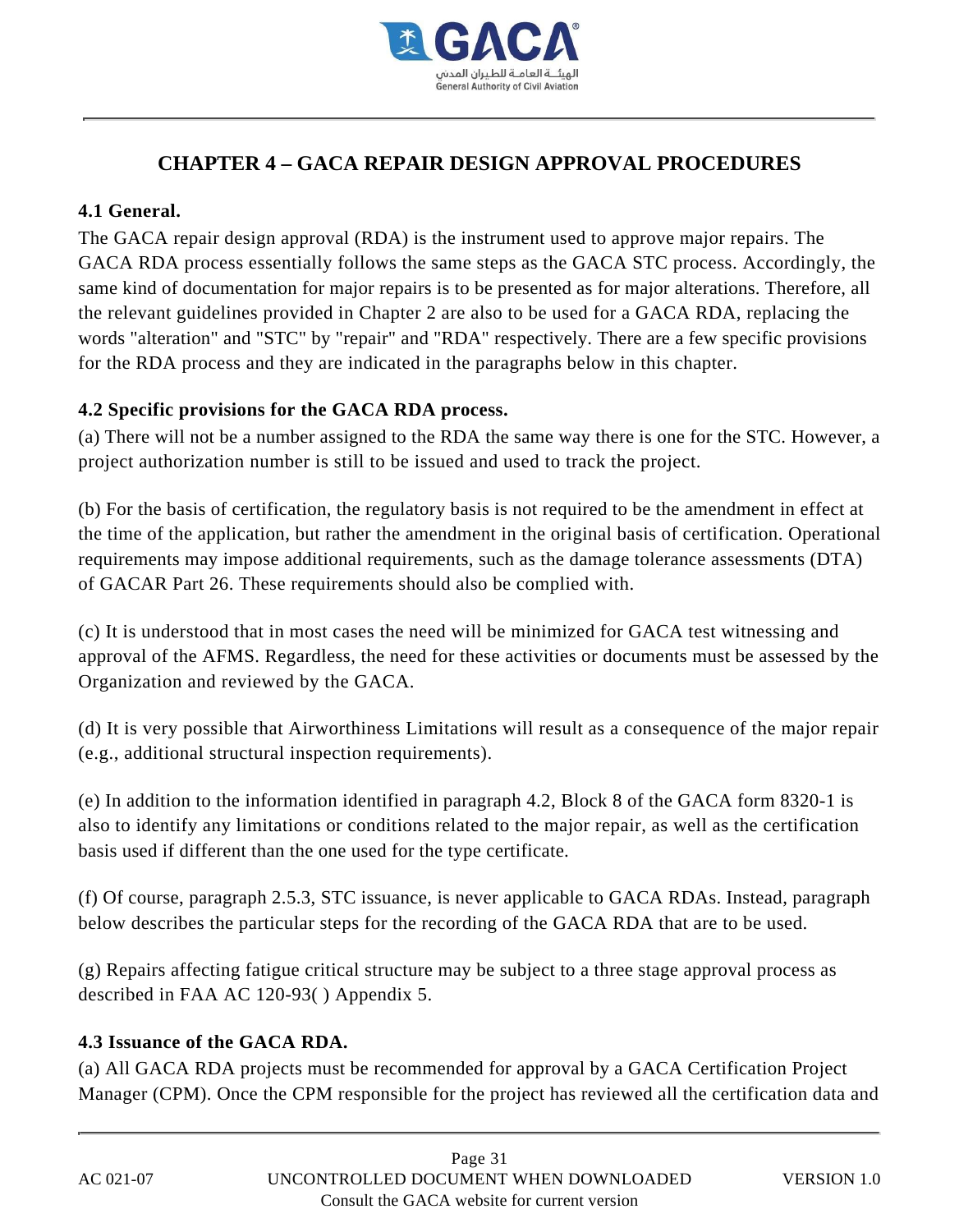

# **CHAPTER 4 – GACA REPAIR DESIGN APPROVAL PROCEDURES**

## **4.1 General.**

The GACA repair design approval (RDA) is the instrument used to approve major repairs. The GACA RDA process essentially follows the same steps as the GACA STC process. Accordingly, the same kind of documentation for major repairs is to be presented as for major alterations. Therefore, all the relevant guidelines provided in Chapter 2 are also to be used for a GACA RDA, replacing the words "alteration" and "STC" by "repair" and "RDA" respectively. There are a few specific provisions for the RDA process and they are indicated in the paragraphs below in this chapter.

#### **4.2 Specific provisions for the GACA RDA process.**

(a) There will not be a number assigned to the RDA the same way there is one for the STC. However, a project authorization number is still to be issued and used to track the project.

(b) For the basis of certification, the regulatory basis is not required to be the amendment in effect at the time of the application, but rather the amendment in the original basis of certification. Operational requirements may impose additional requirements, such as the damage tolerance assessments (DTA) of GACAR Part 26. These requirements should also be complied with.

(c) It is understood that in most cases the need will be minimized for GACA test witnessing and approval of the AFMS. Regardless, the need for these activities or documents must be assessed by the Organization and reviewed by the GACA.

(d) It is very possible that Airworthiness Limitations will result as a consequence of the major repair (e.g., additional structural inspection requirements).

(e) In addition to the information identified in paragraph 4.2, Block 8 of the GACA form 8320-1 is also to identify any limitations or conditions related to the major repair, as well as the certification basis used if different than the one used for the type certificate.

(f) Of course, paragraph 2.5.3, STC issuance, is never applicable to GACA RDAs. Instead, paragraph below describes the particular steps for the recording of the GACA RDA that are to be used.

(g) Repairs affecting fatigue critical structure may be subject to a three stage approval process as described in FAA AC 120-93( ) Appendix 5.

#### **4.3 Issuance of the GACA RDA.**

(a) All GACA RDA projects must be recommended for approval by a GACA Certification Project Manager (CPM). Once the CPM responsible for the project has reviewed all the certification data and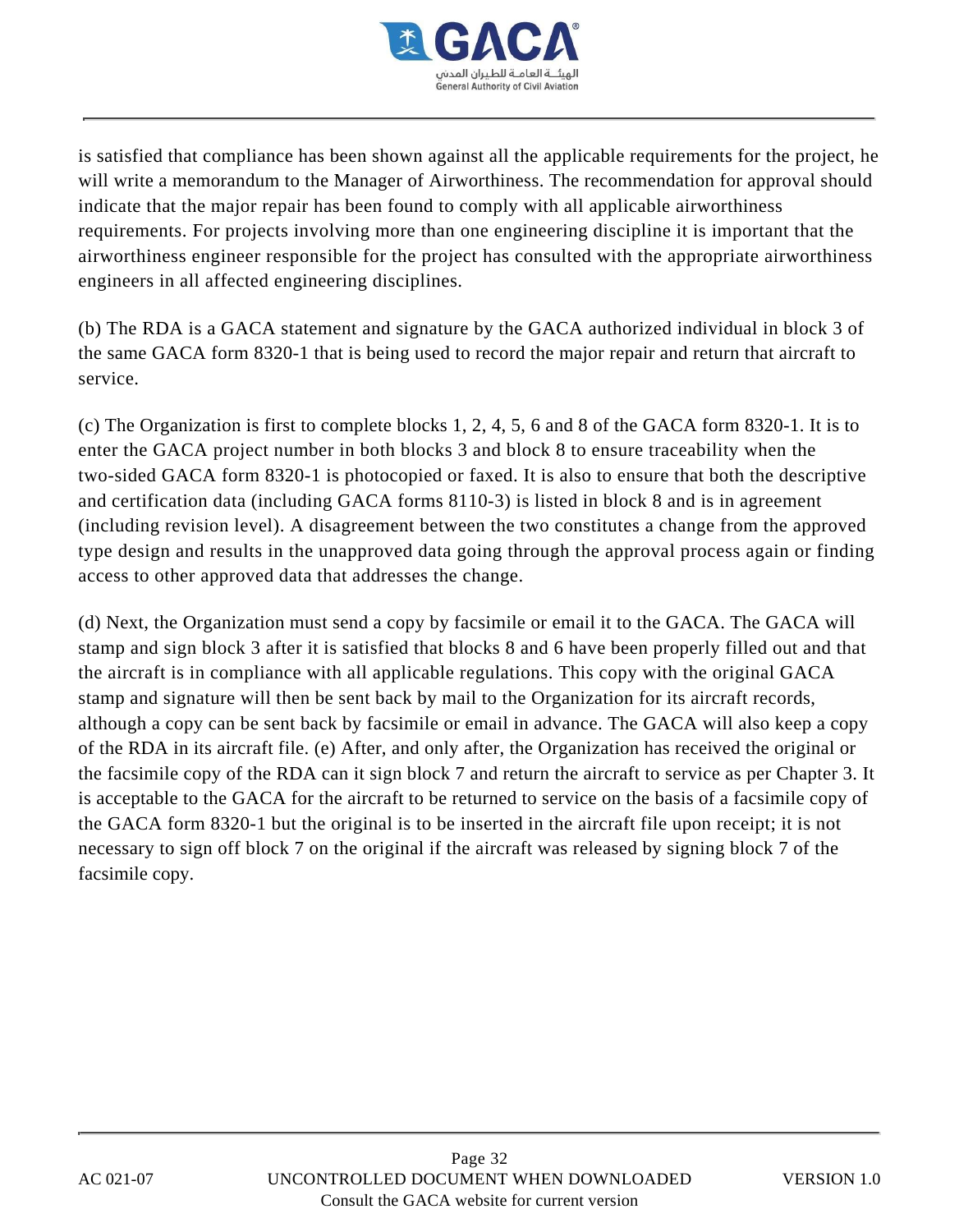

is satisfied that compliance has been shown against all the applicable requirements for the project, he will write a memorandum to the Manager of Airworthiness. The recommendation for approval should indicate that the major repair has been found to comply with all applicable airworthiness requirements. For projects involving more than one engineering discipline it is important that the airworthiness engineer responsible for the project has consulted with the appropriate airworthiness engineers in all affected engineering disciplines.

(b) The RDA is a GACA statement and signature by the GACA authorized individual in block 3 of the same GACA form 8320-1 that is being used to record the major repair and return that aircraft to service.

(c) The Organization is first to complete blocks 1, 2, 4, 5, 6 and 8 of the GACA form 8320-1. It is to enter the GACA project number in both blocks 3 and block 8 to ensure traceability when the two-sided GACA form 8320-1 is photocopied or faxed. It is also to ensure that both the descriptive and certification data (including GACA forms 8110-3) is listed in block 8 and is in agreement (including revision level). A disagreement between the two constitutes a change from the approved type design and results in the unapproved data going through the approval process again or finding access to other approved data that addresses the change.

(d) Next, the Organization must send a copy by facsimile or email it to the GACA. The GACA will stamp and sign block 3 after it is satisfied that blocks 8 and 6 have been properly filled out and that the aircraft is in compliance with all applicable regulations. This copy with the original GACA stamp and signature will then be sent back by mail to the Organization for its aircraft records, although a copy can be sent back by facsimile or email in advance. The GACA will also keep a copy of the RDA in its aircraft file. (e) After, and only after, the Organization has received the original or the facsimile copy of the RDA can it sign block 7 and return the aircraft to service as per Chapter 3. It is acceptable to the GACA for the aircraft to be returned to service on the basis of a facsimile copy of the GACA form 8320-1 but the original is to be inserted in the aircraft file upon receipt; it is not necessary to sign off block 7 on the original if the aircraft was released by signing block 7 of the facsimile copy.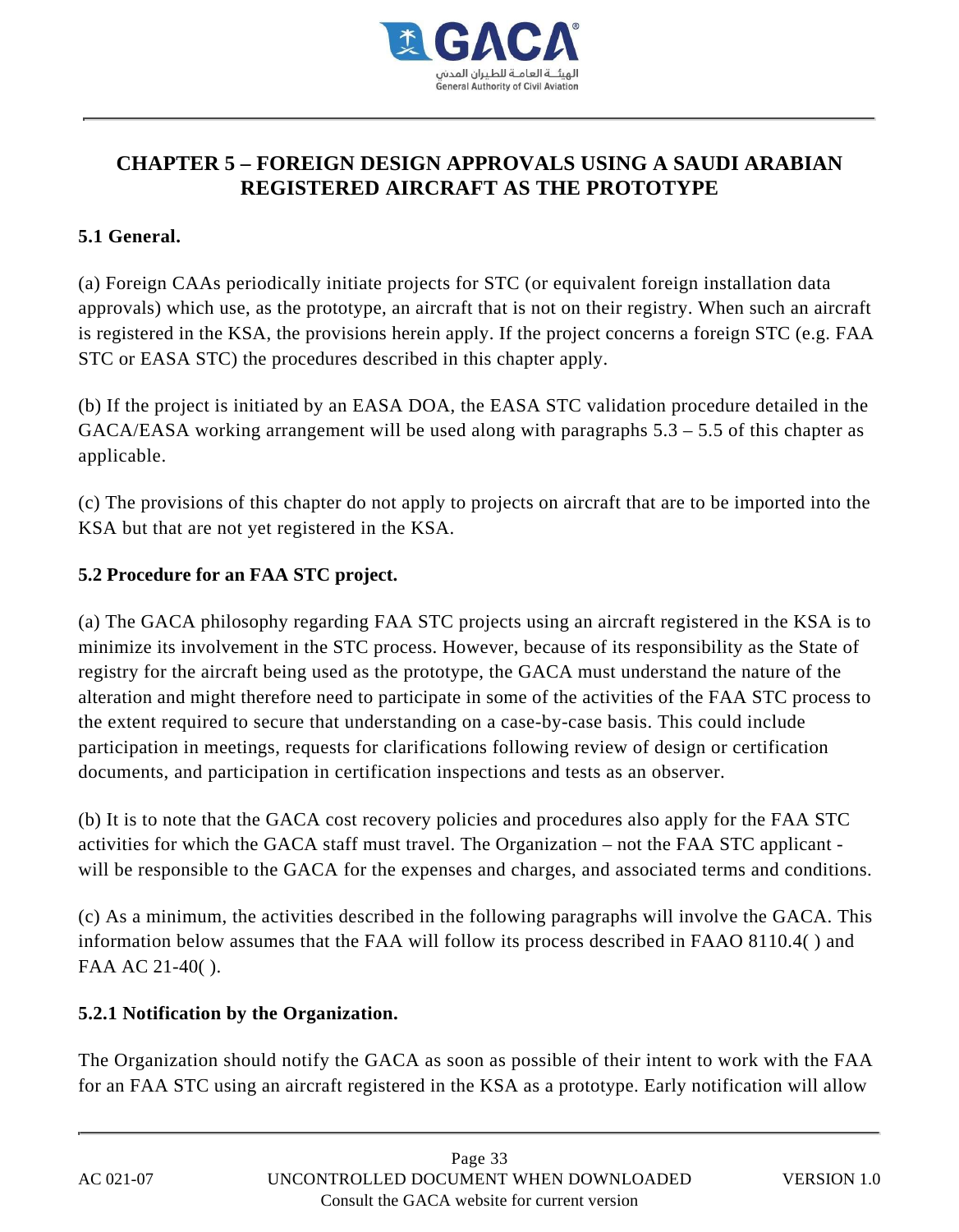

# **CHAPTER 5 – FOREIGN DESIGN APPROVALS USING A SAUDI ARABIAN REGISTERED AIRCRAFT AS THE PROTOTYPE**

## **5.1 General.**

(a) Foreign CAAs periodically initiate projects for STC (or equivalent foreign installation data approvals) which use, as the prototype, an aircraft that is not on their registry. When such an aircraft is registered in the KSA, the provisions herein apply. If the project concerns a foreign STC (e.g. FAA STC or EASA STC) the procedures described in this chapter apply.

(b) If the project is initiated by an EASA DOA, the EASA STC validation procedure detailed in the  $GACA/EASA$  working arrangement will be used along with paragraphs  $5.3 - 5.5$  of this chapter as applicable.

(c) The provisions of this chapter do not apply to projects on aircraft that are to be imported into the KSA but that are not yet registered in the KSA.

#### **5.2 Procedure for an FAA STC project.**

(a) The GACA philosophy regarding FAA STC projects using an aircraft registered in the KSA is to minimize its involvement in the STC process. However, because of its responsibility as the State of registry for the aircraft being used as the prototype, the GACA must understand the nature of the alteration and might therefore need to participate in some of the activities of the FAA STC process to the extent required to secure that understanding on a case-by-case basis. This could include participation in meetings, requests for clarifications following review of design or certification documents, and participation in certification inspections and tests as an observer.

(b) It is to note that the GACA cost recovery policies and procedures also apply for the FAA STC activities for which the GACA staff must travel. The Organization – not the FAA STC applicant will be responsible to the GACA for the expenses and charges, and associated terms and conditions.

(c) As a minimum, the activities described in the following paragraphs will involve the GACA. This information below assumes that the FAA will follow its process described in FAAO 8110.4( ) and FAA AC 21-40( ).

#### **5.2.1 Notification by the Organization.**

The Organization should notify the GACA as soon as possible of their intent to work with the FAA for an FAA STC using an aircraft registered in the KSA as a prototype. Early notification will allow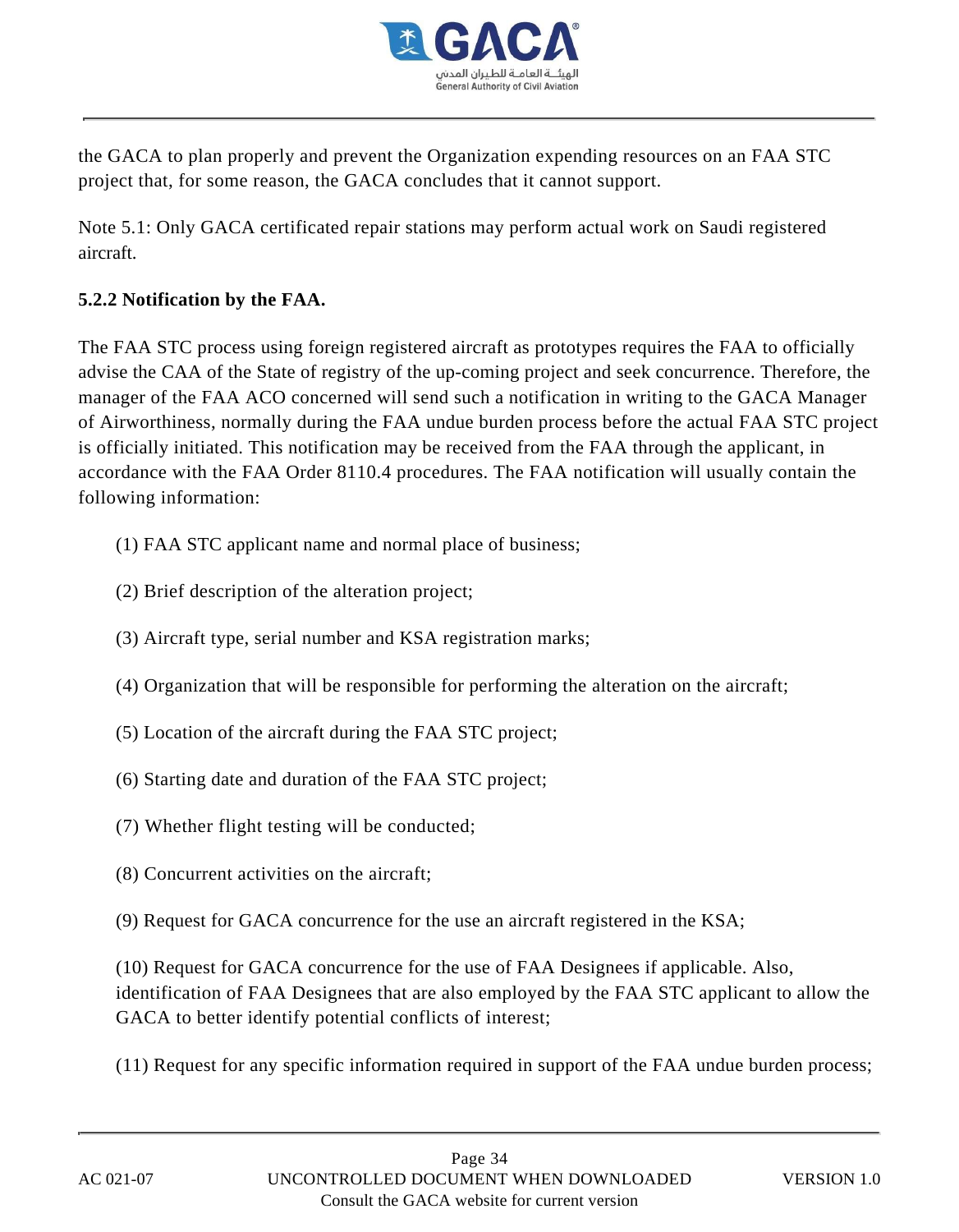

the GACA to plan properly and prevent the Organization expending resources on an FAA STC project that, for some reason, the GACA concludes that it cannot support.

Note 5.1: Only GACA certificated repair stations may perform actual work on Saudi registered aircraft.

## **5.2.2 Notification by the FAA.**

The FAA STC process using foreign registered aircraft as prototypes requires the FAA to officially advise the CAA of the State of registry of the up-coming project and seek concurrence. Therefore, the manager of the FAA ACO concerned will send such a notification in writing to the GACA Manager of Airworthiness, normally during the FAA undue burden process before the actual FAA STC project is officially initiated. This notification may be received from the FAA through the applicant, in accordance with the FAA Order 8110.4 procedures. The FAA notification will usually contain the following information:

- (1) FAA STC applicant name and normal place of business;
- (2) Brief description of the alteration project;
- (3) Aircraft type, serial number and KSA registration marks;
- (4) Organization that will be responsible for performing the alteration on the aircraft;
- (5) Location of the aircraft during the FAA STC project;
- (6) Starting date and duration of the FAA STC project;
- (7) Whether flight testing will be conducted;
- (8) Concurrent activities on the aircraft;
- (9) Request for GACA concurrence for the use an aircraft registered in the KSA;

(10) Request for GACA concurrence for the use of FAA Designees if applicable. Also, identification of FAA Designees that are also employed by the FAA STC applicant to allow the GACA to better identify potential conflicts of interest;

(11) Request for any specific information required in support of the FAA undue burden process;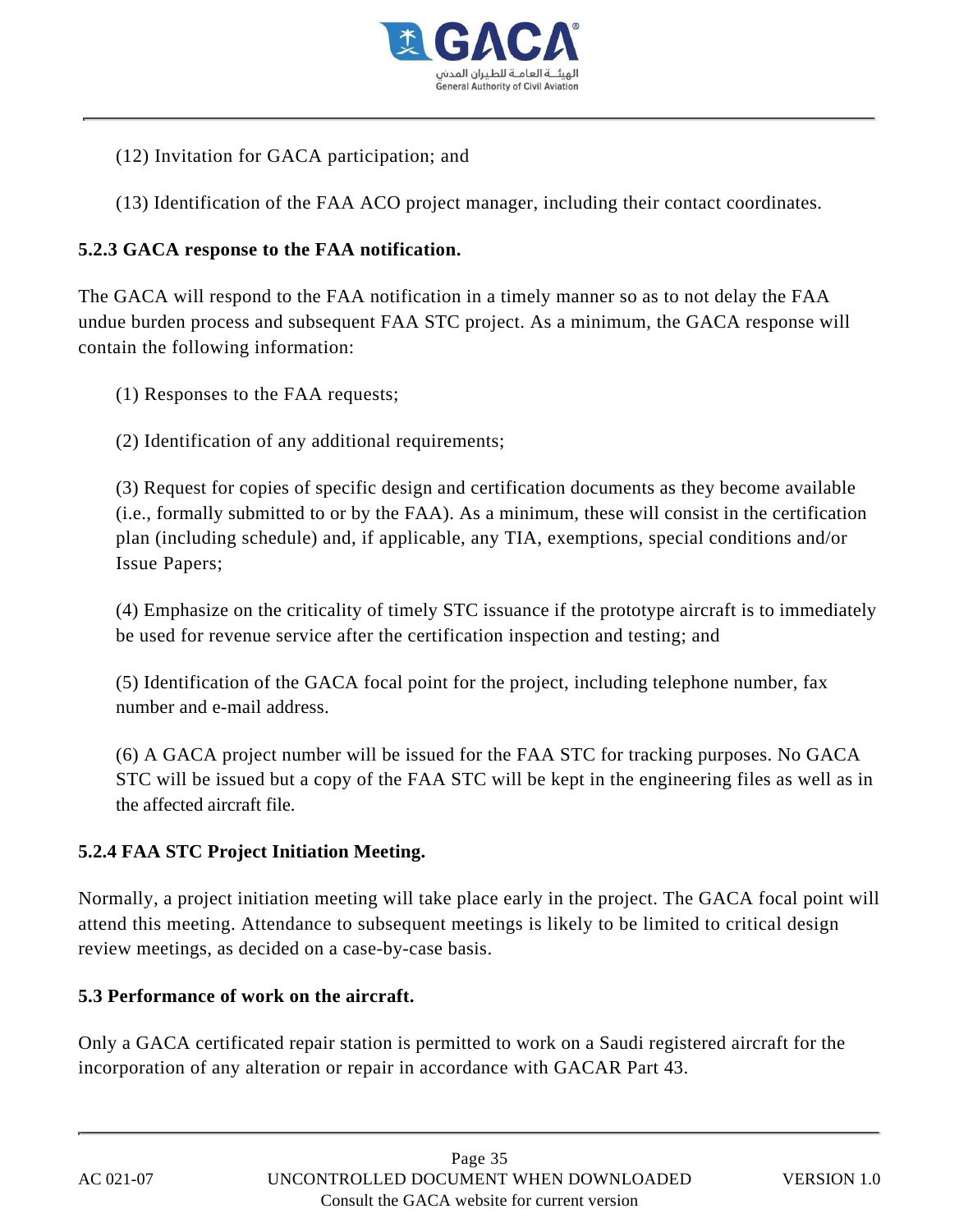

(12) Invitation for GACA participation; and

(13) Identification of the FAA ACO project manager, including their contact coordinates.

#### **5.2.3 GACA response to the FAA notification.**

The GACA will respond to the FAA notification in a timely manner so as to not delay the FAA undue burden process and subsequent FAA STC project. As a minimum, the GACA response will contain the following information:

- (1) Responses to the FAA requests;
- (2) Identification of any additional requirements;

(3) Request for copies of specific design and certification documents as they become available (i.e., formally submitted to or by the FAA). As a minimum, these will consist in the certification plan (including schedule) and, if applicable, any TIA, exemptions, special conditions and/or Issue Papers;

(4) Emphasize on the criticality of timely STC issuance if the prototype aircraft is to immediately be used for revenue service after the certification inspection and testing; and

(5) Identification of the GACA focal point for the project, including telephone number, fax number and e-mail address.

(6) A GACA project number will be issued for the FAA STC for tracking purposes. No GACA STC will be issued but a copy of the FAA STC will be kept in the engineering files as well as in the affected aircraft file.

#### **5.2.4 FAA STC Project Initiation Meeting.**

Normally, a project initiation meeting will take place early in the project. The GACA focal point will attend this meeting. Attendance to subsequent meetings is likely to be limited to critical design review meetings, as decided on a case-by-case basis.

#### **5.3 Performance of work on the aircraft.**

Only a GACA certificated repair station is permitted to work on a Saudi registered aircraft for the incorporation of any alteration or repair in accordance with GACAR Part 43.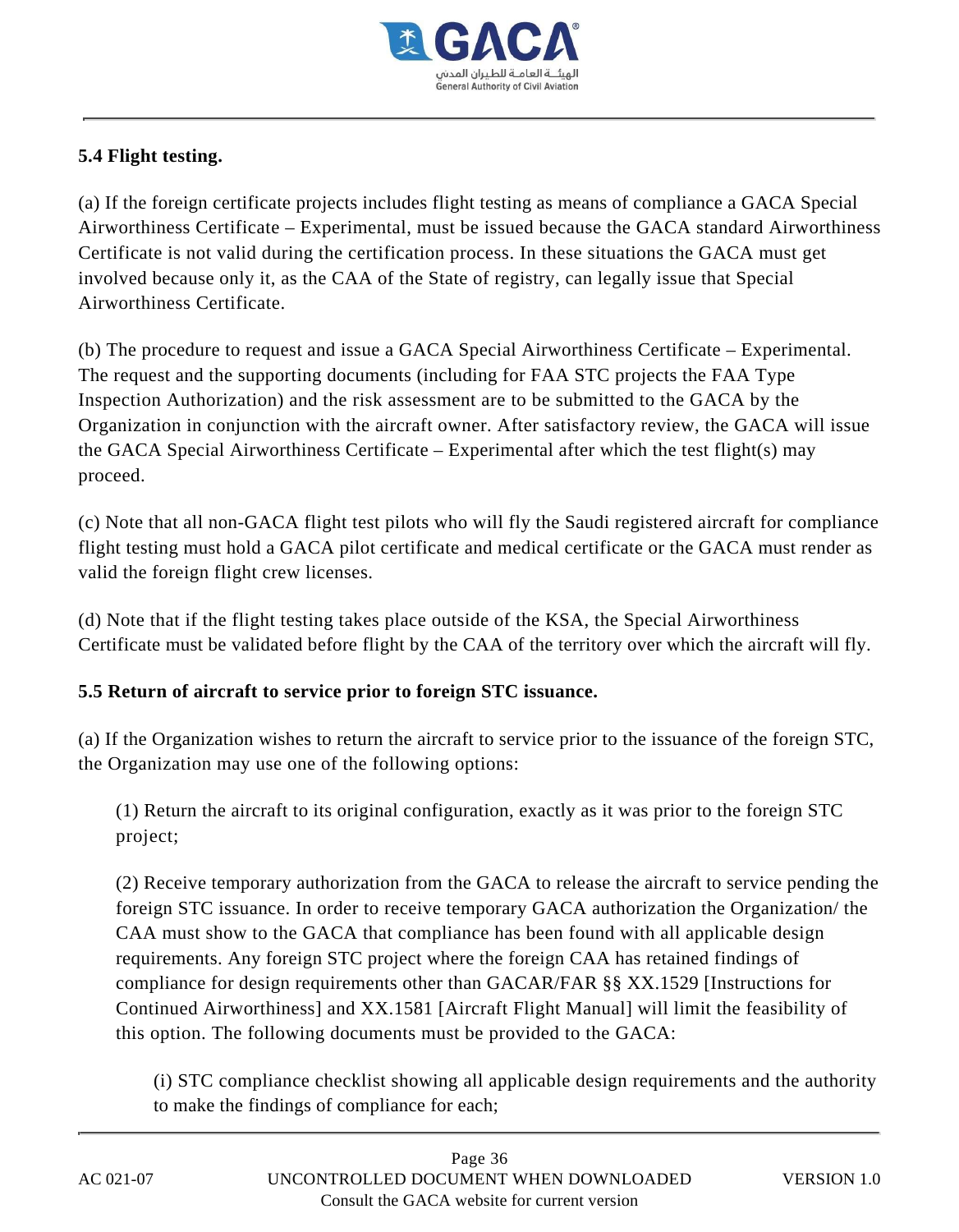

## **5.4 Flight testing.**

(a) If the foreign certificate projects includes flight testing as means of compliance a GACA Special Airworthiness Certificate – Experimental, must be issued because the GACA standard Airworthiness Certificate is not valid during the certification process. In these situations the GACA must get involved because only it, as the CAA of the State of registry, can legally issue that Special Airworthiness Certificate.

(b) The procedure to request and issue a GACA Special Airworthiness Certificate – Experimental. The request and the supporting documents (including for FAA STC projects the FAA Type Inspection Authorization) and the risk assessment are to be submitted to the GACA by the Organization in conjunction with the aircraft owner. After satisfactory review, the GACA will issue the GACA Special Airworthiness Certificate – Experimental after which the test flight(s) may proceed.

(c) Note that all non-GACA flight test pilots who will fly the Saudi registered aircraft for compliance flight testing must hold a GACA pilot certificate and medical certificate or the GACA must render as valid the foreign flight crew licenses.

(d) Note that if the flight testing takes place outside of the KSA, the Special Airworthiness Certificate must be validated before flight by the CAA of the territory over which the aircraft will fly.

#### **5.5 Return of aircraft to service prior to foreign STC issuance.**

(a) If the Organization wishes to return the aircraft to service prior to the issuance of the foreign STC, the Organization may use one of the following options:

(1) Return the aircraft to its original configuration, exactly as it was prior to the foreign STC project;

(2) Receive temporary authorization from the GACA to release the aircraft to service pending the foreign STC issuance. In order to receive temporary GACA authorization the Organization/ the CAA must show to the GACA that compliance has been found with all applicable design requirements. Any foreign STC project where the foreign CAA has retained findings of compliance for design requirements other than GACAR/FAR §§ XX.1529 [Instructions for Continued Airworthiness] and XX.1581 [Aircraft Flight Manual] will limit the feasibility of this option. The following documents must be provided to the GACA:

(i) STC compliance checklist showing all applicable design requirements and the authority to make the findings of compliance for each;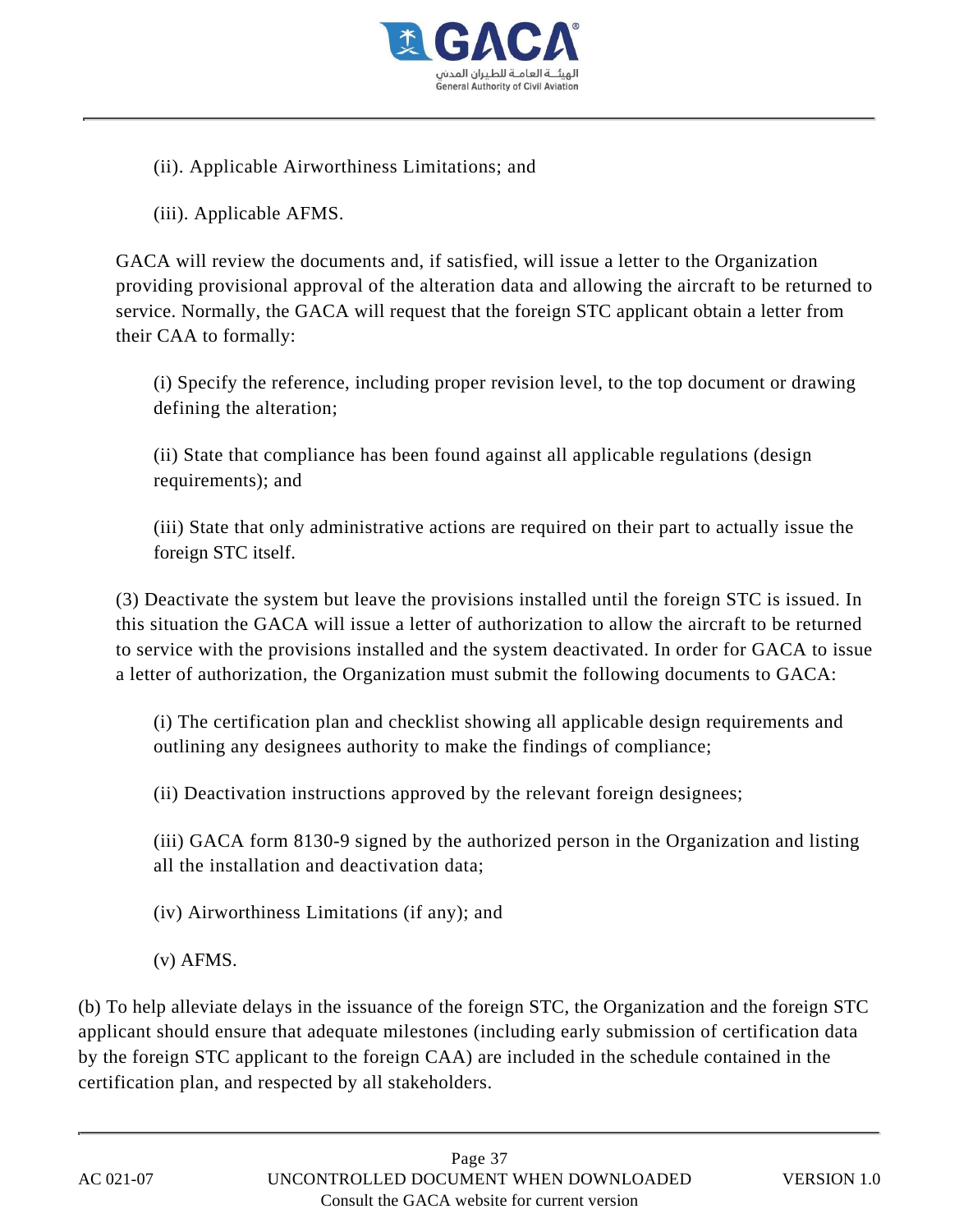

(ii). Applicable Airworthiness Limitations; and

(iii). Applicable AFMS.

GACA will review the documents and, if satisfied, will issue a letter to the Organization providing provisional approval of the alteration data and allowing the aircraft to be returned to service. Normally, the GACA will request that the foreign STC applicant obtain a letter from their CAA to formally:

(i) Specify the reference, including proper revision level, to the top document or drawing defining the alteration;

(ii) State that compliance has been found against all applicable regulations (design requirements); and

(iii) State that only administrative actions are required on their part to actually issue the foreign STC itself.

(3) Deactivate the system but leave the provisions installed until the foreign STC is issued. In this situation the GACA will issue a letter of authorization to allow the aircraft to be returned to service with the provisions installed and the system deactivated. In order for GACA to issue a letter of authorization, the Organization must submit the following documents to GACA:

(i) The certification plan and checklist showing all applicable design requirements and outlining any designees authority to make the findings of compliance;

(ii) Deactivation instructions approved by the relevant foreign designees;

(iii) GACA form 8130-9 signed by the authorized person in the Organization and listing all the installation and deactivation data;

(iv) Airworthiness Limitations (if any); and

(v) AFMS.

(b) To help alleviate delays in the issuance of the foreign STC, the Organization and the foreign STC applicant should ensure that adequate milestones (including early submission of certification data by the foreign STC applicant to the foreign CAA) are included in the schedule contained in the certification plan, and respected by all stakeholders.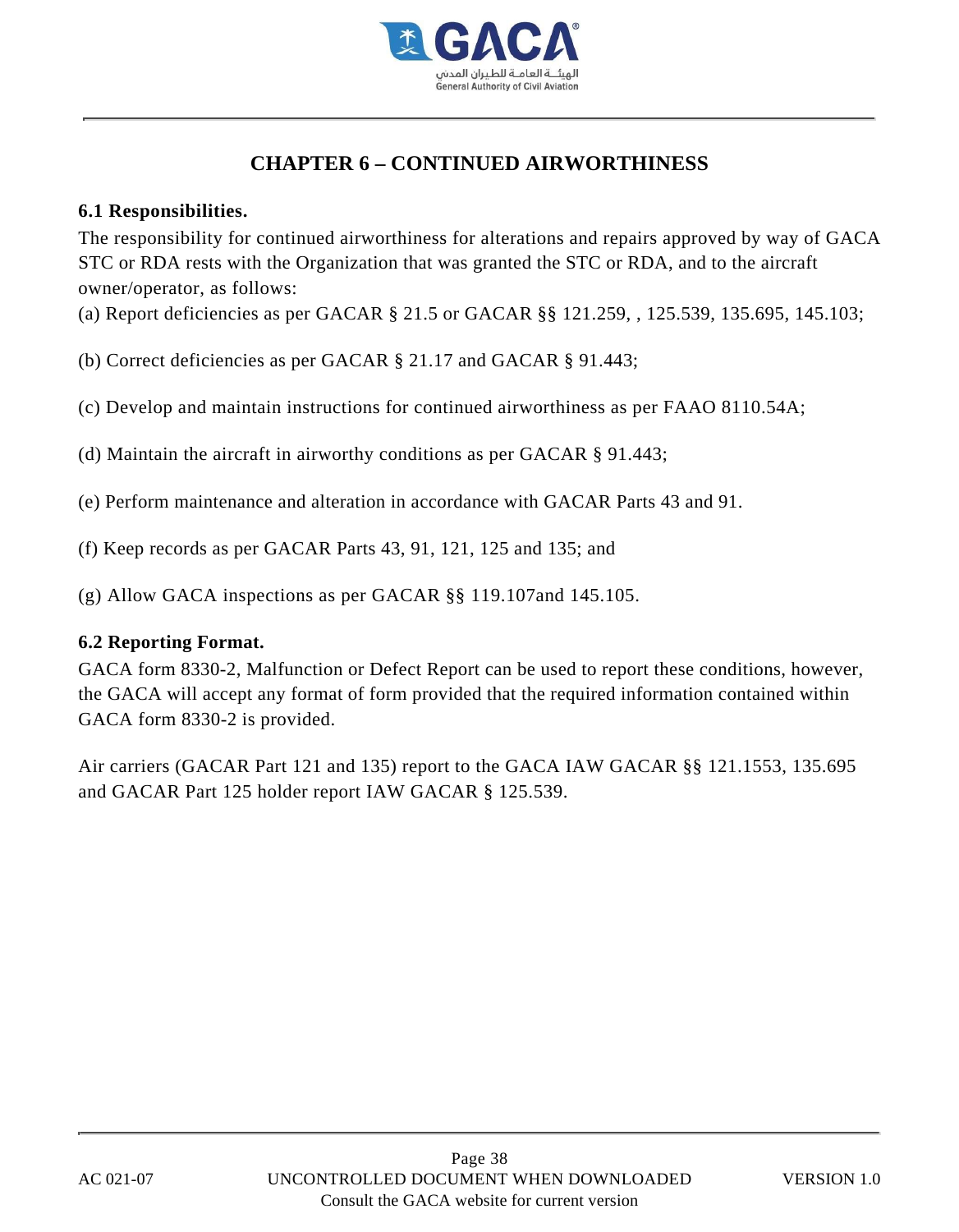

# **CHAPTER 6 – CONTINUED AIRWORTHINESS**

#### **6.1 Responsibilities.**

The responsibility for continued airworthiness for alterations and repairs approved by way of GACA STC or RDA rests with the Organization that was granted the STC or RDA, and to the aircraft owner/operator, as follows:

(a) Report deficiencies as per GACAR § 21.5 or GACAR §§ 121.259, , 125.539, 135.695, 145.103;

- (b) Correct deficiencies as per GACAR § 21.17 and GACAR § 91.443;
- (c) Develop and maintain instructions for continued airworthiness as per FAAO 8110.54A;
- (d) Maintain the aircraft in airworthy conditions as per GACAR § 91.443;
- (e) Perform maintenance and alteration in accordance with GACAR Parts 43 and 91.
- (f) Keep records as per GACAR Parts 43, 91, 121, 125 and 135; and
- (g) Allow GACA inspections as per GACAR §§ 119.107and 145.105.

#### **6.2 Reporting Format.**

GACA form 8330-2, Malfunction or Defect Report can be used to report these conditions, however, the GACA will accept any format of form provided that the required information contained within GACA form 8330-2 is provided.

Air carriers (GACAR Part 121 and 135) report to the GACA IAW GACAR §§ 121.1553, 135.695 and GACAR Part 125 holder report IAW GACAR § 125.539.